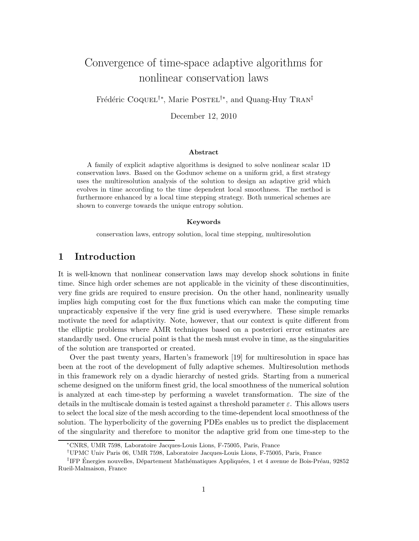# Convergence of time-space adaptive algorithms for nonlinear conservation laws

Frédéric CoQUEL<sup>†∗</sup>, Marie PostEL<sup>†∗</sup>, and Quang-Huy TRAN<sup>‡</sup>

December 12, 2010

#### Abstract

A family of explicit adaptive algorithms is designed to solve nonlinear scalar 1D conservation laws. Based on the Godunov scheme on a uniform grid, a first strategy uses the multiresolution analysis of the solution to design an adaptive grid which evolves in time according to the time dependent local smoothness. The method is furthermore enhanced by a local time stepping strategy. Both numerical schemes are shown to converge towards the unique entropy solution.

#### Keywords

conservation laws, entropy solution, local time stepping, multiresolution

### 1 Introduction

It is well-known that nonlinear conservation laws may develop shock solutions in finite time. Since high order schemes are not applicable in the vicinity of these discontinuities, very fine grids are required to ensure precision. On the other hand, nonlinearity usually implies high computing cost for the flux functions which can make the computing time unpracticably expensive if the very fine grid is used everywhere. These simple remarks motivate the need for adaptivity. Note, however, that our context is quite different from the elliptic problems where AMR techniques based on a posteriori error estimates are standardly used. One crucial point is that the mesh must evolve in time, as the singularities of the solution are transported or created.

Over the past twenty years, Harten's framework [19] for multiresolution in space has been at the root of the development of fully adaptive schemes. Multiresolution methods in this framework rely on a dyadic hierarchy of nested grids. Starting from a numerical scheme designed on the uniform finest grid, the local smoothness of the numerical solution is analyzed at each time-step by performing a wavelet transformation. The size of the details in the multiscale domain is tested against a threshold parameter  $\varepsilon$ . This allows users to select the local size of the mesh according to the time-dependent local smoothness of the solution. The hyperbolicity of the governing PDEs enables us to predict the displacement of the singularity and therefore to monitor the adaptive grid from one time-step to the

<sup>∗</sup>CNRS, UMR 7598, Laboratoire Jacques-Louis Lions, F-75005, Paris, France

<sup>†</sup>UPMC Univ Paris 06, UMR 7598, Laboratoire Jacques-Louis Lions, F-75005, Paris, France

<sup>&</sup>lt;sup>‡</sup>IFP Énergies nouvelles, Département Mathématiques Appliquées, 1 et 4 avenue de Bois-Préau, 92852 Rueil-Malmaison, France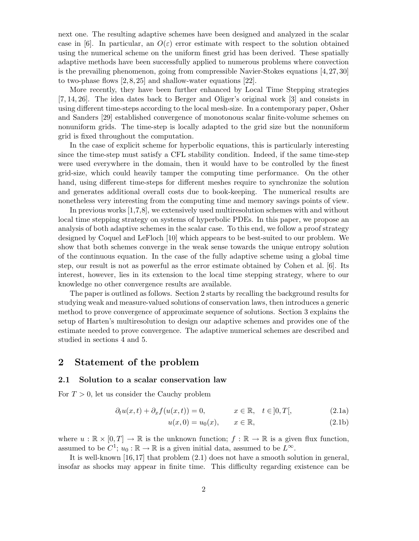next one. The resulting adaptive schemes have been designed and analyzed in the scalar case in [6]. In particular, an  $O(\varepsilon)$  error estimate with respect to the solution obtained using the numerical scheme on the uniform finest grid has been derived. These spatially adaptive methods have been successfully applied to numerous problems where convection is the prevailing phenomenon, going from compressible Navier-Stokes equations [4, 27, 30] to two-phase flows [2, 8, 25] and shallow-water equations [22].

More recently, they have been further enhanced by Local Time Stepping strategies [7, 14, 26]. The idea dates back to Berger and Oliger's original work [3] and consists in using different time-steps according to the local mesh-size. In a contemporary paper, Osher and Sanders [29] established convergence of monotonous scalar finite-volume schemes on nonuniform grids. The time-step is locally adapted to the grid size but the nonuniform grid is fixed throughout the computation.

In the case of explicit scheme for hyperbolic equations, this is particularly interesting since the time-step must satisfy a CFL stability condition. Indeed, if the same time-step were used everywhere in the domain, then it would have to be controlled by the finest grid-size, which could heavily tamper the computing time performance. On the other hand, using different time-steps for different meshes require to synchronize the solution and generates additional overall costs due to book-keeping. The numerical results are nonetheless very interesting from the computing time and memory savings points of view.

In previous works [1,7,8], we extensively used multiresolution schemes with and without local time stepping strategy on systems of hyperbolic PDEs. In this paper, we propose an analysis of both adaptive schemes in the scalar case. To this end, we follow a proof strategy designed by Coquel and LeFloch [10] which appears to be best-suited to our problem. We show that both schemes converge in the weak sense towards the unique entropy solution of the continuous equation. In the case of the fully adaptive scheme using a global time step, our result is not as powerful as the error estimate obtained by Cohen et al. [6]. Its interest, however, lies in its extension to the local time stepping strategy, where to our knowledge no other convergence results are available.

The paper is outlined as follows. Section 2 starts by recalling the background results for studying weak and measure-valued solutions of conservation laws, then introduces a generic method to prove convergence of approximate sequence of solutions. Section 3 explains the setup of Harten's multiresolution to design our adaptive schemes and provides one of the estimate needed to prove convergence. The adaptive numerical schemes are described and studied in sections 4 and 5.

### 2 Statement of the problem

#### 2.1 Solution to a scalar conservation law

For  $T > 0$ , let us consider the Cauchy problem

$$
\partial_t u(x,t) + \partial_x f(u(x,t)) = 0, \qquad x \in \mathbb{R}, \quad t \in ]0, T[, \tag{2.1a}
$$

$$
u(x,0) = u_0(x), \qquad x \in \mathbb{R}, \tag{2.1b}
$$

where  $u : \mathbb{R} \times [0,T] \to \mathbb{R}$  is the unknown function;  $f : \mathbb{R} \to \mathbb{R}$  is a given flux function, assumed to be  $C^1$ ;  $u_0 : \mathbb{R} \to \mathbb{R}$  is a given initial data, assumed to be  $L^{\infty}$ .

It is well-known [16,17] that problem (2.1) does not have a smooth solution in general, insofar as shocks may appear in finite time. This difficulty regarding existence can be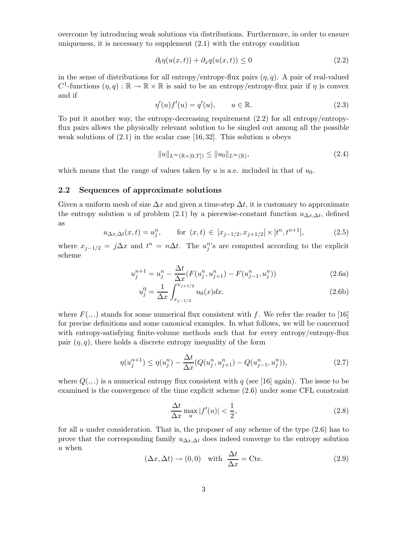overcome by introducing weak solutions via distributions. Furthermore, in order to ensure uniqueness, it is necessary to supplement (2.1) with the entropy condition

$$
\partial_t \eta(u(x,t)) + \partial_x q(u(x,t)) \le 0 \tag{2.2}
$$

in the sense of distributions for all entropy/entropy-flux pairs  $(\eta, q)$ . A pair of real-valued C<sup>1</sup>-functions  $(\eta, q): \mathbb{R} \to \mathbb{R} \times \mathbb{R}$  is said to be an entropy/entropy-flux pair if  $\eta$  is convex and if

$$
\eta'(u)f'(u) = q'(u), \qquad u \in \mathbb{R}.\tag{2.3}
$$

To put it another way, the entropy-decreasing requirement  $(2.2)$  for all entropy/entropyflux pairs allows the physically relevant solution to be singled out among all the possible weak solutions of  $(2.1)$  in the scalar case [16, 32]. This solution u obeys

$$
||u||_{L^{\infty}(\mathbb{R}\times[0,T])} \leq ||u_0||_{L^{\infty}(\mathbb{R})},\tag{2.4}
$$

which means that the range of values taken by u is a.e. included in that of  $u_0$ .

#### 2.2 Sequences of approximate solutions

Given a uniform mesh of size  $\Delta x$  and given a time-step  $\Delta t$ , it is customary to approximate the entropy solution u of problem (2.1) by a piecewise-constant function  $u_{\Delta x,\Delta t}$ , defined as

$$
u_{\Delta x, \Delta t}(x, t) = u_j^n, \qquad \text{for } (x, t) \in [x_{j-1/2}, x_{j+1/2}] \times [t^n, t^{n+1}], \tag{2.5}
$$

where  $x_{j-1/2} = j\Delta x$  and  $t^n = n\Delta t$ . The  $u_j^n$ 's are computed according to the explicit scheme

$$
u_j^{n+1} = u_j^n - \frac{\Delta t}{\Delta x} (F(u_j^n, u_{j+1}^n) - F(u_{j-1}^n, u_j^n))
$$
\n(2.6a)

$$
u_j^0 = \frac{1}{\Delta x} \int_{x_{j-1/2}}^{x_{j+1/2}} u_0(x) dx.
$$
 (2.6b)

where  $F(.,.)$  stands for some numerical flux consistent with f. We refer the reader to [16] for precise definitions and some canonical examples. In what follows, we will be concerned with entropy-satisfying finite-volume methods such that for every entropy/entropy-flux pair  $(\eta, q)$ , there holds a discrete entropy inequality of the form

$$
\eta(u_j^{n+1}) \le \eta(u_j^n) - \frac{\Delta t}{\Delta x} (Q(u_j^n, u_{j+1}^n) - Q(u_{j-1}^n, u_j^n)),\tag{2.7}
$$

where  $Q(.,.)$  is a numerical entropy flux consistent with q (see [16] again). The issue to be examined is the convergence of the time explicit scheme (2.6) under some CFL constraint

$$
\frac{\Delta t}{\Delta x} \max_{u} |f'(u)| < \frac{1}{2},\tag{2.8}
$$

for all  $u$  under consideration. That is, the proposer of any scheme of the type  $(2.6)$  has to prove that the corresponding family  $u_{\Delta x,\Delta t}$  does indeed converge to the entropy solution u when

$$
(\Delta x, \Delta t) \to (0, 0) \quad \text{with} \quad \frac{\Delta t}{\Delta x} = \text{Cte.} \tag{2.9}
$$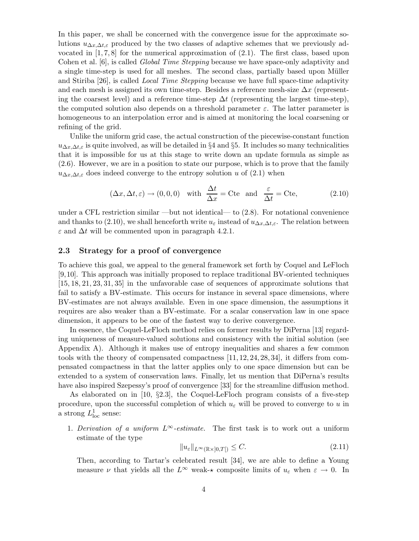In this paper, we shall be concerned with the convergence issue for the approximate solutions  $u_{\Delta x, \Delta t, \varepsilon}$  produced by the two classes of adaptive schemes that we previously advocated in  $[1, 7, 8]$  for the numerical approximation of  $(2.1)$ . The first class, based upon Cohen et al. [6], is called *Global Time Stepping* because we have space-only adaptivity and a single time-step is used for all meshes. The second class, partially based upon Müller and Stiriba [26], is called *Local Time Stepping* because we have full space-time adaptivity and each mesh is assigned its own time-step. Besides a reference mesh-size  $\Delta x$  (representing the coarsest level) and a reference time-step  $\Delta t$  (representing the largest time-step), the computed solution also depends on a threshold parameter  $\varepsilon$ . The latter parameter is homogeneous to an interpolation error and is aimed at monitoring the local coarsening or refining of the grid.

Unlike the uniform grid case, the actual construction of the piecewise-constant function  $u_{\Delta x,\Delta t,\varepsilon}$  is quite involved, as will be detailed in §4 and §5. It includes so many technicalities that it is impossible for us at this stage to write down an update formula as simple as (2.6). However, we are in a position to state our purpose, which is to prove that the family  $u_{\Delta x,\Delta t,\varepsilon}$  does indeed converge to the entropy solution u of (2.1) when

$$
(\Delta x, \Delta t, \varepsilon) \to (0, 0, 0) \quad \text{with} \quad \frac{\Delta t}{\Delta x} = \text{Cte} \quad \text{and} \quad \frac{\varepsilon}{\Delta t} = \text{Cte}, \tag{2.10}
$$

under a CFL restriction similar —but not identical— to  $(2.8)$ . For notational convenience and thanks to (2.10), we shall henceforth write  $u_{\varepsilon}$  instead of  $u_{\Delta x,\Delta t,\varepsilon}$ . The relation between  $\varepsilon$  and  $\Delta t$  will be commented upon in paragraph 4.2.1.

#### 2.3 Strategy for a proof of convergence

To achieve this goal, we appeal to the general framework set forth by Coquel and LeFloch [9,10]. This approach was initially proposed to replace traditional BV-oriented techniques [15, 18, 21, 23, 31, 35] in the unfavorable case of sequences of approximate solutions that fail to satisfy a BV-estimate. This occurs for instance in several space dimensions, where BV-estimates are not always available. Even in one space dimension, the assumptions it requires are also weaker than a BV-estimate. For a scalar conservation law in one space dimension, it appears to be one of the fastest way to derive convergence.

In essence, the Coquel-LeFloch method relies on former results by DiPerna [13] regarding uniqueness of measure-valued solutions and consistency with the initial solution (see Appendix A). Although it makes use of entropy inequalities and shares a few common tools with the theory of compensated compactness [11, 12, 24, 28, 34], it differs from compensated compactness in that the latter applies only to one space dimension but can be extended to a system of conservation laws. Finally, let us mention that DiPerna's results have also inspired Szepessy's proof of convergence [33] for the streamline diffusion method.

As elaborated on in [10, §2.3], the Coquel-LeFloch program consists of a five-step procedure, upon the successful completion of which  $u_{\varepsilon}$  will be proved to converge to u in a strong  $L^1_{\text{loc}}$  sense:

1. *Derivation of a uniform*  $L^\infty$ -estimate. The first task is to work out a uniform estimate of the type

$$
||u_{\varepsilon}||_{L^{\infty}(\mathbb{R} \times ]0,T[)} \leq C. \tag{2.11}
$$

Then, according to Tartar's celebrated result [34], we are able to define a Young measure  $\nu$  that yields all the  $L^{\infty}$  weak- $\star$  composite limits of  $u_{\varepsilon}$  when  $\varepsilon \to 0$ . In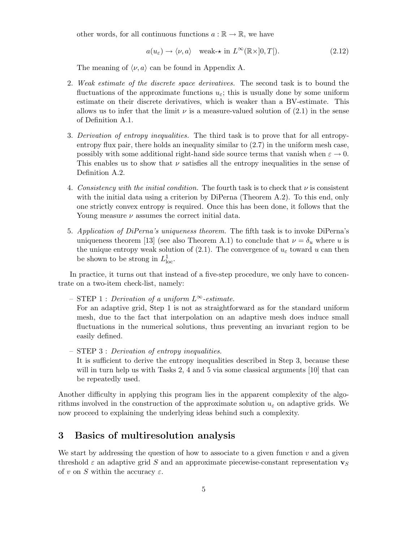other words, for all continuous functions  $a : \mathbb{R} \to \mathbb{R}$ , we have

$$
a(u_{\varepsilon}) \to \langle \nu, a \rangle \quad \text{weak-} \star \text{ in } L^{\infty}(\mathbb{R} \times ]0, T[
$$
. (2.12)

The meaning of  $\langle \nu, a \rangle$  can be found in Appendix A.

- 2. *Weak estimate of the discrete space derivatives.* The second task is to bound the fluctuations of the approximate functions  $u_{\varepsilon}$ ; this is usually done by some uniform estimate on their discrete derivatives, which is weaker than a BV-estimate. This allows us to infer that the limit  $\nu$  is a measure-valued solution of (2.1) in the sense of Definition A.1.
- 3. *Derivation of entropy inequalities.* The third task is to prove that for all entropyentropy flux pair, there holds an inequality similar to (2.7) in the uniform mesh case, possibly with some additional right-hand side source terms that vanish when  $\varepsilon \to 0$ . This enables us to show that  $\nu$  satisfies all the entropy inequalities in the sense of Definition A.2.
- 4. *Consistency with the initial condition*. The fourth task is to check that  $\nu$  is consistent with the initial data using a criterion by DiPerna (Theorem A.2). To this end, only one strictly convex entropy is required. Once this has been done, it follows that the Young measure  $\nu$  assumes the correct initial data.
- 5. *Application of DiPerna's uniqueness theorem.* The fifth task is to invoke DiPerna's uniqueness theorem [13] (see also Theorem A.1) to conclude that  $\nu = \delta_u$  where u is the unique entropy weak solution of (2.1). The convergence of  $u_{\varepsilon}$  toward u can then be shown to be strong in  $L^1_{\text{loc}}$ .

In practice, it turns out that instead of a five-step procedure, we only have to concentrate on a two-item check-list, namely:

– STEP 1 : *Derivation of a uniform* L∞*-estimate.*

For an adaptive grid, Step 1 is not as straightforward as for the standard uniform mesh, due to the fact that interpolation on an adaptive mesh does induce small fluctuations in the numerical solutions, thus preventing an invariant region to be easily defined.

– STEP 3 : *Derivation of entropy inequalities.*

It is sufficient to derive the entropy inequalities described in Step 3, because these will in turn help us with Tasks 2, 4 and 5 via some classical arguments [10] that can be repeatedly used.

Another difficulty in applying this program lies in the apparent complexity of the algorithms involved in the construction of the approximate solution  $u_{\varepsilon}$  on adaptive grids. We now proceed to explaining the underlying ideas behind such a complexity.

### 3 Basics of multiresolution analysis

We start by addressing the question of how to associate to a given function  $v$  and a given threshold  $\varepsilon$  an adaptive grid S and an approximate piecewise-constant representation  $\mathbf{v}_S$ of v on S within the accuracy  $\varepsilon$ .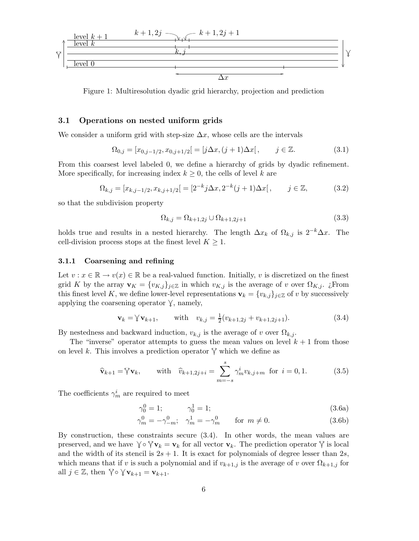

Figure 1: Multiresolution dyadic grid hierarchy, projection and prediction

#### 3.1 Operations on nested uniform grids

We consider a uniform grid with step-size  $\Delta x$ , whose cells are the intervals

$$
\Omega_{0,j} = [x_{0,j-1/2}, x_{0,j+1/2}] = [j\Delta x, (j+1)\Delta x], \qquad j \in \mathbb{Z}.
$$
\n(3.1)

From this coarsest level labeled 0, we define a hierarchy of grids by dyadic refinement. More specifically, for increasing index  $k \geq 0$ , the cells of level k are

$$
\Omega_{k,j} = [x_{k,j-1/2}, x_{k,j+1/2}] = [2^{-k}j\Delta x, 2^{-k}(j+1)\Delta x], \qquad j \in \mathbb{Z},
$$
\n(3.2)

so that the subdivision property

$$
\Omega_{k,j} = \Omega_{k+1,2j} \cup \Omega_{k+1,2j+1}
$$
\n(3.3)

holds true and results in a nested hierarchy. The length  $\Delta x_k$  of  $\Omega_{k,j}$  is  $2^{-k}\Delta x$ . The cell-division process stops at the finest level  $K \geq 1$ .

#### 3.1.1 Coarsening and refining

Let  $v: x \in \mathbb{R} \to v(x) \in \mathbb{R}$  be a real-valued function. Initially, v is discretized on the finest grid K by the array  $\mathbf{v}_K = \{v_{K,j}\}_{j\in\mathbb{Z}}$  in which  $v_{K,j}$  is the average of v over  $\Omega_{K,j}$ . ¿From this finest level K, we define lower-level representations  $\mathbf{v}_k = \{v_{k,j}\}_{j\in\mathbb{Z}}$  of v by successively applying the coarsening operator  $\gamma$ , namely,

$$
\mathbf{v}_k = \mathbf{\hat{y}} \mathbf{v}_{k+1}, \qquad \text{with} \quad v_{k,j} = \frac{1}{2}(v_{k+1,2j} + v_{k+1,2j+1}). \tag{3.4}
$$

By nestedness and backward induction,  $v_{k,j}$  is the average of v over  $\Omega_{k,j}$ .

The "inverse" operator attempts to guess the mean values on level  $k + 1$  from those on level k. This involves a prediction operator  $\tilde{V}$  which we define as

$$
\widehat{\mathbf{v}}_{k+1} = \nabla \mathbf{v}_k
$$
, with  $\widehat{v}_{k+1,2j+i} = \sum_{m=-s}^{s} \gamma_m^i v_{k,j+m}$  for  $i = 0, 1$ . (3.5)

The coefficients  $\gamma_m^i$  are required to meet

$$
\gamma_0^0 = 1; \qquad \gamma_0^1 = 1; \tag{3.6a}
$$

$$
\gamma_m^0 = -\gamma_{-m}^0; \quad \gamma_m^1 = -\gamma_m^0 \qquad \text{for } m \neq 0. \tag{3.6b}
$$

By construction, these constraints secure (3.4). In other words, the mean values are preserved, and we have  $\lozenge \circ \lozenge v_k = v_k$  for all vector  $v_k$ . The prediction operator  $\lozenge$  is local and the width of its stencil is  $2s + 1$ . It is exact for polynomials of degree lesser than  $2s$ , which means that if v is such a polynomial and if  $v_{k+1,j}$  is the average of v over  $\Omega_{k+1,j}$  for all  $j \in \mathbb{Z}$ , then  $\forall \circ \forall \mathbf{v}_{k+1} = \mathbf{v}_{k+1}$ .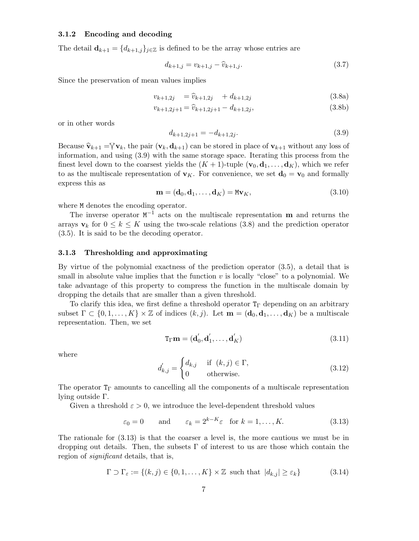#### 3.1.2 Encoding and decoding

The detail  $\mathbf{d}_{k+1} = \{d_{k+1,j}\}_{j\in\mathbb{Z}}$  is defined to be the array whose entries are

$$
d_{k+1,j} = v_{k+1,j} - \hat{v}_{k+1,j}.
$$
\n(3.7)

Since the preservation of mean values implies

$$
v_{k+1,2j} = \hat{v}_{k+1,2j} + d_{k+1,2j}
$$
 (3.8a)

$$
v_{k+1,2j+1} = \hat{v}_{k+1,2j+1} - d_{k+1,2j},\tag{3.8b}
$$

or in other words

$$
d_{k+1,2j+1} = -d_{k+1,2j}.\tag{3.9}
$$

Because  $\hat{\mathbf{v}}_{k+1} = \hat{\mathbf{v}} \mathbf{v}_k$ , the pair  $(\mathbf{v}_k, \mathbf{d}_{k+1})$  can be stored in place of  $\mathbf{v}_{k+1}$  without any loss of information, and using (3.9) with the same storage space. Iterating this process from the finest level down to the coarsest yields the  $(K + 1)$ -tuple  $(v_0, d_1, \ldots, d_K)$ , which we refer to as the multiscale representation of  $v_K$ . For convenience, we set  $d_0 = v_0$  and formally express this as

$$
\mathbf{m} = (\mathbf{d}_0, \mathbf{d}_1, \dots, \mathbf{d}_K) = M \mathbf{v}_K, \tag{3.10}
$$

where M denotes the encoding operator.

The inverse operator  $M^{-1}$  acts on the multiscale representation **m** and returns the arrays  $v_k$  for  $0 \le k \le K$  using the two-scale relations (3.8) and the prediction operator (3.5). It is said to be the decoding operator.

#### 3.1.3 Thresholding and approximating

By virtue of the polynomial exactness of the prediction operator (3.5), a detail that is small in absolute value implies that the function  $v$  is locally "close" to a polynomial. We take advantage of this property to compress the function in the multiscale domain by dropping the details that are smaller than a given threshold.

To clarify this idea, we first define a threshold operator  $T_{\Gamma}$  depending on an arbitrary subset  $\Gamma \subset \{0, 1, \ldots, K\} \times \mathbb{Z}$  of indices  $(k, j)$ . Let  $\mathbf{m} = (\mathbf{d}_0, \mathbf{d}_1, \ldots, \mathbf{d}_K)$  be a multiscale representation. Then, we set

$$
\mathbf{T}_{\Gamma}\mathbf{m} = (\mathbf{d}'_0, \mathbf{d}'_1, \dots, \mathbf{d}'_K) \tag{3.11}
$$

where

$$
d'_{k,j} = \begin{cases} d_{k,j} & \text{if } (k,j) \in \Gamma, \\ 0 & \text{otherwise.} \end{cases}
$$
 (3.12)

The operator  $T_{\Gamma}$  amounts to cancelling all the components of a multiscale representation lying outside Γ.

Given a threshold  $\varepsilon > 0$ , we introduce the level-dependent threshold values

$$
\varepsilon_0 = 0
$$
 and  $\varepsilon_k = 2^{k-K} \varepsilon$  for  $k = 1, ..., K$ . (3.13)

The rationale for (3.13) is that the coarser a level is, the more cautious we must be in dropping out details. Then, the subsets  $\Gamma$  of interest to us are those which contain the region of *significant* details, that is,

$$
\Gamma \supset \Gamma_{\varepsilon} := \{ (k, j) \in \{0, 1, \dots, K\} \times \mathbb{Z} \text{ such that } |d_{k,j}| \ge \varepsilon_k \}
$$
\n(3.14)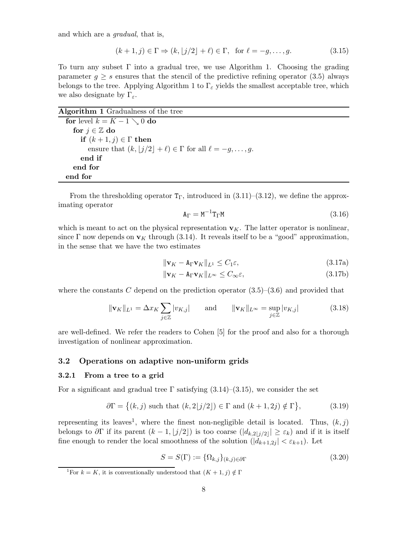and which are a *gradual*, that is,

$$
(k+1,j) \in \Gamma \Rightarrow (k, \lfloor j/2 \rfloor + \ell) \in \Gamma, \text{ for } \ell = -g, \dots, g. \tag{3.15}
$$

To turn any subset Γ into a gradual tree, we use Algorithm 1. Choosing the grading parameter  $g \geq s$  ensures that the stencil of the predictive refining operator (3.5) always belongs to the tree. Applying Algorithm 1 to  $\Gamma_{\varepsilon}$  yields the smallest acceptable tree, which we also designate by  $\Gamma_{\varepsilon}$ .

| <b>Algorithm 1</b> Gradualness of the tree                                  |  |
|-----------------------------------------------------------------------------|--|
| for level $k = K - 1 \searrow 0$ do                                         |  |
| for $j \in \mathbb{Z}$ do                                                   |  |
| if $(k+1, j) \in \Gamma$ then                                               |  |
| ensure that $(k,  j/2  + \ell) \in \Gamma$ for all $\ell = -g, \ldots, g$ . |  |
| end if                                                                      |  |
| end for                                                                     |  |
| end for                                                                     |  |

From the thresholding operator  $T_{\Gamma}$ , introduced in (3.11)–(3.12), we define the approximating operator

$$
\mathbf{A}_{\Gamma} = \mathbf{M}^{-1} \mathbf{T}_{\Gamma} \mathbf{M} \tag{3.16}
$$

which is meant to act on the physical representation  $\mathbf{v}_K$ . The latter operator is nonlinear, since Γ now depends on  $\mathbf{v}_K$  through (3.14). It reveals itself to be a "good" approximation, in the sense that we have the two estimates

$$
\|\mathbf{v}_K - \mathbf{A}_{\Gamma}\mathbf{v}_K\|_{L^1} \le C_1 \varepsilon,\tag{3.17a}
$$

$$
\|\mathbf{v}_K - \mathbf{A}_\Gamma \mathbf{v}_K\|_{L^\infty} \le C_\infty \varepsilon,\tag{3.17b}
$$

where the constants C depend on the prediction operator  $(3.5)-(3.6)$  and provided that

$$
\|\mathbf{v}_K\|_{L^1} = \Delta x_K \sum_{j \in \mathbb{Z}} |v_{K,j}| \quad \text{and} \quad \|\mathbf{v}_K\|_{L^\infty} = \sup_{j \in \mathbb{Z}} |v_{K,j}| \quad (3.18)
$$

are well-defined. We refer the readers to Cohen [5] for the proof and also for a thorough investigation of nonlinear approximation.

#### 3.2 Operations on adaptive non-uniform grids

#### 3.2.1 From a tree to a grid

For a significant and gradual tree  $\Gamma$  satisfying (3.14)–(3.15), we consider the set

$$
\partial \Gamma = \left\{ (k, j) \text{ such that } (k, 2\lfloor j/2 \rfloor) \in \Gamma \text{ and } (k+1, 2j) \notin \Gamma \right\},\tag{3.19}
$$

representing its leaves<sup>1</sup>, where the finest non-negligible detail is located. Thus,  $(k, j)$ belongs to  $\partial \Gamma$  if its parent  $(k-1, \lfloor j/2 \rfloor)$  is too coarse  $(|d_{k,2\lfloor j/2 \rfloor}| \geq \varepsilon_k)$  and if it is itself fine enough to render the local smoothness of the solution  $(|d_{k+1,2j}| < \varepsilon_{k+1})$ . Let

$$
S = S(\Gamma) := \{ \Omega_{k,j} \}_{(k,j) \in \partial \Gamma} \tag{3.20}
$$

<sup>&</sup>lt;sup>1</sup>For  $k = K$ , it is conventionally understood that  $(K + 1, j) \notin \Gamma$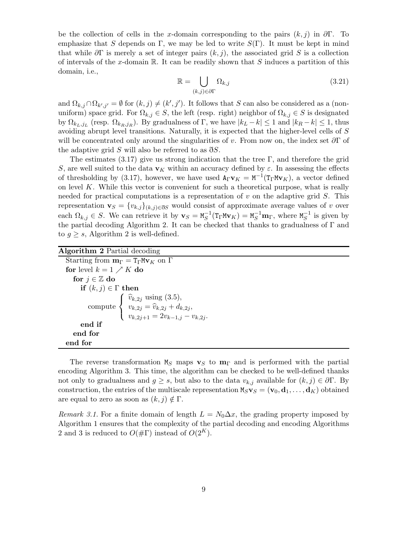be the collection of cells in the x-domain corresponding to the pairs  $(k, j)$  in  $\partial \Gamma$ . To emphasize that S depends on Γ, we may be led to write  $S(\Gamma)$ . It must be kept in mind that while  $\partial\Gamma$  is merely a set of integer pairs  $(k, j)$ , the associated grid S is a collection of intervals of the x-domain R. It can be readily shown that S induces a partition of this domain, i.e.,

$$
\mathbb{R} = \bigcup_{(k,j)\in\partial\Gamma} \Omega_{k,j} \tag{3.21}
$$

and  $\Omega_{k,j} \cap \Omega_{k',j'} = \emptyset$  for  $(k,j) \neq (k',j')$ . It follows that S can also be considered as a (nonuniform) space grid. For  $\Omega_{k,j} \in S$ , the left (resp. right) neighbor of  $\Omega_{k,j} \in S$  is designated by  $\Omega_{k_L,j_L}$  (resp.  $\Omega_{k_R,j_R}$ ). By gradualness of  $\Gamma$ , we have  $|k_L - k| \leq 1$  and  $|k_R - k| \leq 1$ , thus avoiding abrupt level transitions. Naturally, it is expected that the higher-level cells of S will be concentrated only around the singularities of v. From now on, the index set  $\partial \Gamma$  of the adaptive grid S will also be referred to as  $\eth S$ .

The estimates  $(3.17)$  give us strong indication that the tree Γ, and therefore the grid S, are well suited to the data  $v_K$  within an accuracy defined by  $\varepsilon$ . In assessing the effects of thresholding by (3.17), however, we have used  $\mathbf{A}_{\Gamma}\mathbf{v}_K = M^{-1}(\mathbf{T}_{\Gamma}\mathbf{M}\mathbf{v}_K)$ , a vector defined on level  $K$ . While this vector is convenient for such a theoretical purpose, what is really needed for practical computations is a representation of  $v$  on the adaptive grid  $S$ . This representation  $\mathbf{v}_S = \{v_{k,j}\}_{(k,j)\in\partial S}$  would consist of approximate average values of v over each  $\Omega_{k,j} \in S$ . We can retrieve it by  $\mathbf{v}_S = M_S^{-1}(\mathbf{T}_{\Gamma} \mathbf{M} \mathbf{v}_K) = M_S^{-1} \mathbf{m}_{\Gamma}$ , where  $M_S^{-1}$  is given by the partial decoding Algorithm 2. It can be checked that thanks to gradualness of  $\Gamma$  and to  $g \geq s$ , Algorithm 2 is well-defined.

| Algorithm 2 Partial decoding |  |  |  |
|------------------------------|--|--|--|
|------------------------------|--|--|--|

| Starting from $m_{\Gamma} = T_{\Gamma} M v_K$ on $\Gamma$                                                                                                |
|----------------------------------------------------------------------------------------------------------------------------------------------------------|
| for level $k = 1 \nearrow K$ do                                                                                                                          |
| for $j \in \mathbb{Z}$ do                                                                                                                                |
| if $(k, j) \in \Gamma$ then                                                                                                                              |
| compute $\begin{cases} \hat{v}_{k,2j} \text{ using } (3.5), \\ v_{k,2j} = \hat{v}_{k,2j} + d_{k,2j}, \\ v_{k,2j+1} = 2v_{k-1,j} - v_{k,2j}. \end{cases}$ |
| end if                                                                                                                                                   |
| end for                                                                                                                                                  |
| end for                                                                                                                                                  |
|                                                                                                                                                          |

The reverse transformation  $M_S$  maps  $v_S$  to  $m_{\Gamma}$  and is performed with the partial encoding Algorithm 3. This time, the algorithm can be checked to be well-defined thanks not only to gradualness and  $g \geq s$ , but also to the data  $v_{k,j}$  available for  $(k,j) \in \partial \Gamma$ . By construction, the entries of the multiscale representation  $M_S\mathbf{v}_S = (\mathbf{v}_0, \mathbf{d}_1, \dots, \mathbf{d}_K)$  obtained are equal to zero as soon as  $(k, j) \notin \Gamma$ .

*Remark 3.1.* For a finite domain of length  $L = N_0 \Delta x$ , the grading property imposed by Algorithm 1 ensures that the complexity of the partial decoding and encoding Algorithms 2 and 3 is reduced to  $O(\#\Gamma)$  instead of  $O(2^K)$ .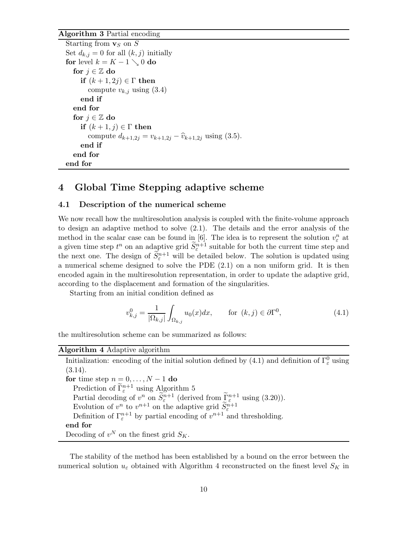#### Algorithm 3 Partial encoding

```
Starting from \mathbf{v}_S on S
Set d_{k,j} = 0 for all (k,j) initially
for level k = K - 1 \searrow 0 do
  for j \in \mathbb{Z} do
     if (k+1, 2j) \in \Gamma then
        compute v_{k,j} using (3.4)
     end if
  end for
  for j \in \mathbb{Z} do
     if (k+1,j) \in \Gamma then
        compute d_{k+1,2j} = v_{k+1,2j} - \hat{v}_{k+1,2j} using (3.5).
     end if
  end for
end for
```
### 4 Global Time Stepping adaptive scheme

#### 4.1 Description of the numerical scheme

We now recall how the multiresolution analysis is coupled with the finite-volume approach to design an adaptive method to solve (2.1). The details and the error analysis of the method in the scalar case can be found in [6]. The idea is to represent the solution  $v_{\varepsilon}^{n}$  at a given time step  $t^n$  on an adaptive grid  $\widetilde{S}^{n+1}_\varepsilon$  suitable for both the current time step and the next one. The design of  $\widetilde{S}_{\varepsilon}^{n+1}$  will be detailed below. The solution is updated using a numerical scheme designed to solve the PDE (2.1) on a non uniform grid. It is then encoded again in the multiresolution representation, in order to update the adaptive grid, according to the displacement and formation of the singularities.

Starting from an initial condition defined as

$$
v_{k,j}^0 = \frac{1}{|\Omega_{k,j}|} \int_{\Omega_{k,j}} u_0(x) dx, \qquad \text{for } (k,j) \in \partial \Gamma^0,
$$
\n(4.1)

the multiresolution scheme can be summarized as follows:

#### Algorithm 4 Adaptive algorithm

Initialization: encoding of the initial solution defined by (4.1) and definition of  $\Gamma_{\varepsilon}^0$  using (3.14). for time step  $n = 0, \ldots, N - 1$  do Prediction of  $\Gamma_{\varepsilon}^{n+1}$  using Algorithm 5 Partial decoding of  $v^n$  on  $\tilde{S}_{\varepsilon}^{n+1}$  (derived from  $\Gamma_{\varepsilon}^{n+1}$  using (3.20)). Evolution of  $v^n$  to  $v^{n+1}$  on the adaptive grid  $\widetilde{S}^{n+1}_{\varepsilon}$ Definition of  $\Gamma^{n+1}_{\varepsilon}$  by partial encoding of  $v^{n+1}$  and thresholding. end for Decoding of  $v^N$  on the finest grid  $S_K$ .

The stability of the method has been established by a bound on the error between the numerical solution  $u_{\varepsilon}$  obtained with Algorithm 4 reconstructed on the finest level  $S_K$  in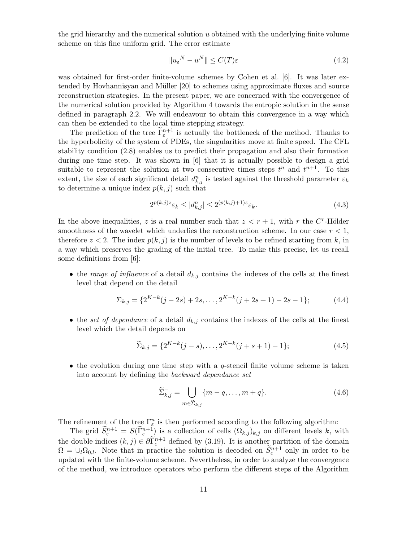the grid hierarchy and the numerical solution  $u$  obtained with the underlying finite volume scheme on this fine uniform grid. The error estimate

$$
||u_{\varepsilon}^N - u^N|| \le C(T)\varepsilon
$$
\n(4.2)

was obtained for first-order finite-volume schemes by Cohen et al. [6]. It was later extended by Hovhannisyan and Müller [20] to schemes using approximate fluxes and source reconstruction strategies. In the present paper, we are concerned with the convergence of the numerical solution provided by Algorithm 4 towards the entropic solution in the sense defined in paragraph 2.2. We will endeavour to obtain this convergence in a way which can then be extended to the local time stepping strategy.

The prediction of the tree  $\Gamma_{\varepsilon}^{n+1}$  is actually the bottleneck of the method. Thanks to the hyperbolicity of the system of PDEs, the singularities move at finite speed. The CFL stability condition (2.8) enables us to predict their propagation and also their formation during one time step. It was shown in [6] that it is actually possible to design a grid suitable to represent the solution at two consecutive times steps  $t^n$  and  $t^{n+1}$ . To this extent, the size of each significant detail  $d_{k,j}^n$  is tested against the threshold parameter  $\varepsilon_k$ to determine a unique index  $p(k, j)$  such that

$$
2^{p(k,j)z}\varepsilon_k \le |d_{k,j}^n| \le 2^{(p(k,j)+1)z}\varepsilon_k. \tag{4.3}
$$

In the above inequalities, z is a real number such that  $z < r + 1$ , with r the C<sup>r</sup>-Hölder smoothness of the wavelet which underlies the reconstruction scheme. In our case  $r < 1$ , therefore  $z < 2$ . The index  $p(k, j)$  is the number of levels to be refined starting from k, in a way which preserves the grading of the initial tree. To make this precise, let us recall some definitions from [6]:

• the *range* of *influence* of a detail  $d_{k,j}$  contains the indexes of the cells at the finest level that depend on the detail

$$
\Sigma_{k,j} = \{2^{K-k}(j-2s) + 2s, \dots, 2^{K-k}(j+2s+1) - 2s - 1\};\tag{4.4}
$$

• the *set of dependance* of a detail  $d_{k,i}$  contains the indexes of the cells at the finest level which the detail depends on

$$
\widetilde{\Sigma}_{k,j} = \{2^{K-k}(j-s), \dots, 2^{K-k}(j+s+1) - 1\};\tag{4.5}
$$

• the evolution during one time step with a  $q$ -stencil finite volume scheme is taken into account by defining the *backward dependance set*

$$
\widetilde{\Sigma}_{k,j}^- = \bigcup_{m \in \widetilde{\Sigma}_{k,j}} \{m - q, \dots, m + q\}.
$$
\n(4.6)

The refinement of the tree  $\Gamma_{\varepsilon}^{n}$  is then performed according to the following algorithm:

The grid  $\widetilde{S}^{n+1}_{\varepsilon} = S(\widetilde{\Gamma}^{n+1}_{\varepsilon})$  is a collection of cells  $(\Omega_{k,j})_{k,j}$  on different levels k, with the double indices  $(k,j) \in \partial \tilde{\Gamma}_{\varepsilon}^{n+1}$  defined by (3.19). It is another partition of the domain  $\Omega = \bigcup_l \Omega_{0,l}$ . Note that in practice the solution is decoded on  $\widetilde{S}_{\varepsilon}^{n+1}$  only in order to be updated with the finite-volume scheme. Nevertheless, in order to analyze the convergence of the method, we introduce operators who perform the different steps of the Algorithm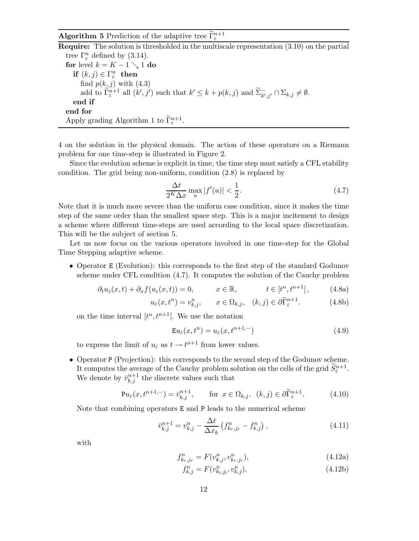# **Algorithm 5** Prediction of the adaptive tree  $\tilde{\Gamma}_{\varepsilon}^{n+1}$

**Require:** The solution is thresholded in the multiscale representation  $(3.10)$  on the partial tree  $\Gamma_{\varepsilon}^{n}$  defined by (3.14). for level  $k = K - 1 \searrow 1$  do if  $(k, j) \in \Gamma_{\varepsilon}^{n}$  then find  $p(k,j)$  with  $(4.3)$ add to  $\widetilde{\Gamma}_{\varepsilon}^{n+1}$  all  $(k',j')$  such that  $k' \leq k + p(k,j)$  and  $\widetilde{\Sigma}_{k',j'}^- \cap \Sigma_{k,j} \neq \emptyset$ . end if end for Apply grading Algorithm 1 to  $\Gamma_{\varepsilon}^{n+1}$ .

4 on the solution in the physical domain. The action of these operators on a Riemann problem for one time-step is illustrated in Figure 2.

Since the evolution scheme is explicit in time, the time step must satisfy a CFL stability condition. The grid being non-uniform, condition (2.8) is replaced by

$$
\frac{\Delta t}{2^K \Delta x} \max_{u} |f'(u)| < \frac{1}{2}.\tag{4.7}
$$

Note that it is much more severe than the uniform case condition, since it makes the time step of the same order than the smallest space step. This is a major incitement to design a scheme where different time-steps are used according to the local space discretization. This will be the subject of section 5.

Let us now focus on the various operators involved in one time-step for the Global Time Stepping adaptive scheme.

• Operator E (Evolution): this corresponds to the first step of the standard Godunov scheme under CFL condition (4.7). It computes the solution of the Cauchy problem

$$
\partial_t u_{\varepsilon}(x,t) + \partial_x f(u_{\varepsilon}(x,t)) = 0, \qquad x \in \mathbb{R}, \qquad t \in [t^n, t^{n+1}], \qquad (4.8a)
$$

$$
u_{\varepsilon}(x, t^n) = v_{k,j}^n, \qquad x \in \Omega_{k,j}, \quad (k, j) \in \partial \tilde{\Gamma}_{\varepsilon}^{n+1}.
$$
 (4.8b)

on the time interval  $[t<sup>n</sup>, t<sup>n+1</sup>]$ . We use the notation

$$
Eu_{\varepsilon}(x, t^n) = u_{\varepsilon}(x, t^{n+1,-})
$$
\n(4.9)

to express the limit of  $u_{\varepsilon}$  as  $t \to t^{n+1}$  from lower values.

• Operator P (Projection): this corresponds to the second step of the Godunov scheme. It computes the average of the Cauchy problem solution on the cells of the grid  $\widetilde{S}_{\varepsilon}^{n+1}$ . We denote by  $\bar{v}_{k,j}^{n+1}$  the discrete values such that

$$
\mathbf{P}u_{\varepsilon}(x, t^{n+1,-}) = \bar{v}_{k,j}^{n+1}, \qquad \text{for } x \in \Omega_{k,j}, \ \ (k, j) \in \partial \widetilde{\Gamma}_{\varepsilon}^{n+1}.
$$

Note that combining operators E and P leads to the numerical scheme

$$
\bar{v}_{k,j}^{n+1} = v_{k,j}^n - \frac{\Delta t}{\Delta x_k} \left( f_{k_r,j_r}^n - f_{k,j}^n \right),\tag{4.11}
$$

with

$$
f_{k_r,j_r}^n = F(v_{k,j}^n, v_{k_r,j_r}^n),
$$
\n(4.12a)

$$
f_{k,j}^n = F(v_{k_l,j_l}^n, v_{k,j}^n),
$$
\n(4.12b)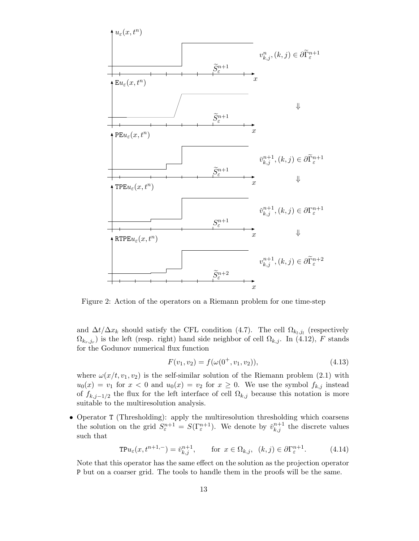

Figure 2: Action of the operators on a Riemann problem for one time-step

and  $\Delta t/\Delta x_k$  should satisfy the CFL condition (4.7). The cell  $\Omega_{k_l,j_l}$  (respectively  $\Omega_{k_r,j_r}$ ) is the left (resp. right) hand side neighbor of cell  $\Omega_{k,j}$ . In (4.12), F stands for the Godunov numerical flux function

$$
F(v_1, v_2) = f(\omega(0^+, v_1, v_2)),
$$
\n(4.13)

where  $\omega(x/t, v_1, v_2)$  is the self-similar solution of the Riemann problem (2.1) with  $u_0(x) = v_1$  for  $x < 0$  and  $u_0(x) = v_2$  for  $x \ge 0$ . We use the symbol  $f_{k,j}$  instead of  $f_{k,j-1/2}$  the flux for the left interface of cell  $\Omega_{k,j}$  because this notation is more suitable to the multiresolution analysis.

• Operator T (Thresholding): apply the multiresolution thresholding which coarsens the solution on the grid  $S_{\varepsilon}^{n+1} = S(\Gamma_{\varepsilon}^{n+1})$ . We denote by  $\check{v}_{k,j}^{n+1}$  the discrete values such that

$$
\text{TP}u_{\varepsilon}(x, t^{n+1,-}) = \check{v}_{k,j}^{n+1}, \qquad \text{for } x \in \Omega_{k,j}, \ \ (k,j) \in \partial \Gamma_{\varepsilon}^{n+1}.
$$
 (4.14)

Note that this operator has the same effect on the solution as the projection operator P but on a coarser grid. The tools to handle them in the proofs will be the same.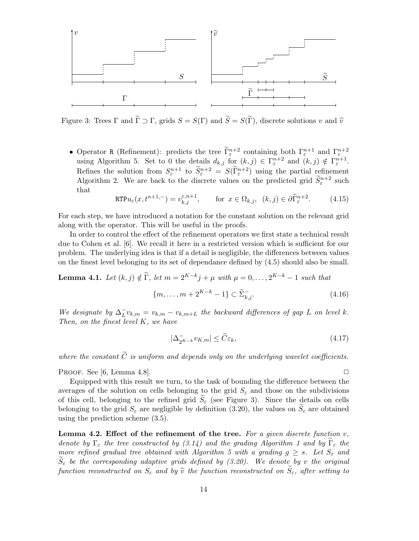

Figure 3: Trees Γ and  $\widetilde{\Gamma} \supset \Gamma$ , grids  $S = S(\Gamma)$  and  $\widetilde{S} = S(\widetilde{\Gamma})$ , discrete solutions v and  $\widehat{v}$ 

• Operator R (Refinement): predicts the tree  $\tilde{\Gamma}_{\varepsilon}^{n+2}$  containing both  $\Gamma_{\varepsilon}^{n+1}$  and  $\Gamma_{\varepsilon}^{n+2}$ using Algorithm 5. Set to 0 the details  $d_{k,j}$  for  $(k,j) \in \Gamma_{\varepsilon}^{n+2}$  and  $(k,j) \notin \Gamma_{\varepsilon}^{n+1}$ . Refines the solution from  $S_{\varepsilon}^{n+1}$  to  $\widetilde{S}_{\varepsilon}^{n+2} = S(\widetilde{\Gamma}_{\varepsilon}^{n+2})$  using the partial refinement Algorithm 2. We are back to the discrete values on the predicted grid  $\widetilde{S}^{n+2}_\varepsilon$  such that

$$
\text{RTP}u_{\varepsilon}(x, t^{n+1,-}) = v_{k,j}^{\varepsilon, n+1}, \qquad \text{for } x \in \Omega_{k,j}, \ (k, j) \in \partial \widetilde{\Gamma}_{\varepsilon}^{n+2}.
$$
 (4.15)

For each step, we have introduced a notation for the constant solution on the relevant grid along with the operator. This will be useful in the proofs.

In order to control the effect of the refinement operators we first state a technical result due to Cohen et al. [6]. We recall it here in a restricted version which is sufficient for our problem. The underlying idea is that if a detail is negligible, the differences between values on the finest level belonging to its set of dependance defined by (4.5) should also be small.

**Lemma 4.1.** *Let*  $(k, j) \notin \widetilde{\Gamma}$ , *let*  $m = 2^{K-k}j + \mu$  *with*  $\mu = 0, \ldots, 2^{K-k} - 1$  *such that* 

$$
\{m, \dots, m + 2^{K-k} - 1\} \subset \widetilde{\Sigma}_{k,j}^{-}.
$$
\n(4.16)

*We designate by*  $\Delta_L^ \bar{L}v_{k,m} = v_{k,m} - v_{k,m+L}$  the backward differences of gap L on level k. *Then, on the finest level* K*, we have*

$$
|\Delta_{2^{K-k}}^{-} v_{K,m}| \le \widetilde{C} \varepsilon_k,\tag{4.17}
$$

where the constant  $\tilde{C}$  is uniform and depends only on the underlying wavelet coefficients.

PROOF. See [6, Lemma 4.8].  $\Box$ 

Equipped with this result we turn, to the task of bounding the difference between the averages of the solution on cells belonging to the grid  $S_{\varepsilon}$  and those on the subdivisions of this cell, belonging to the refined grid  $\widetilde{S}_{\varepsilon}$  (see Figure 3). Since the details on cells belonging to the grid  $S_{\varepsilon}$  are negligible by definition (3.20), the values on  $S_{\varepsilon}$  are obtained using the prediction scheme (3.5).

Lemma 4.2. Effect of the refinement of the tree. *For a given discrete function* v*, denote by*  $\Gamma_{\varepsilon}$  *the tree constructed by* (3.14) and the grading Algorithm 1 and by  $\Gamma_{\varepsilon}$  *the more refined gradual tree obtained with Algorithm 5 with a grading*  $g \geq s$ *. Let*  $S_{\varepsilon}$  *and*  $S_{\varepsilon}$  be the corresponding adaptive grids defined by (3.20). We denote by v the original *function reconstructed on*  $S_{\varepsilon}$  *and by*  $\hat{v}$  *the function reconstructed on*  $S_{\varepsilon}$ *, after setting to*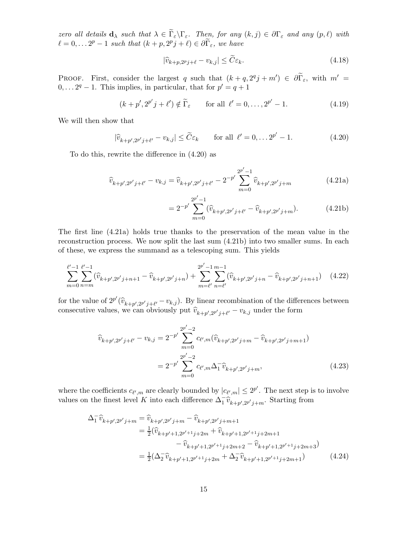*zero all details*  $\mathbf{d}_{\lambda}$  *such that*  $\lambda \in \Gamma_{\varepsilon} \backslash \Gamma_{\varepsilon}$ . Then, for any  $(k, j) \in \partial \Gamma_{\varepsilon}$  *and any*  $(p, \ell)$  *with*  $\ell = 0, \ldots 2^p - 1$  such that  $(k+p, 2^p j + \ell) \in \partial \widetilde{\Gamma}_{\varepsilon}$ , we have

$$
|\widehat{v}_{k+p,2^p j+\ell} - v_{k,j}| \le \widetilde{C} \varepsilon_k. \tag{4.18}
$$

PROOF. First, consider the largest q such that  $(k+q, 2^q j + m') \in \partial \tilde{\Gamma}_{\varepsilon}$ , with  $m' =$  $0, \ldots 2^q - 1$ . This implies, in particular, that for  $p' = q + 1$ 

$$
(k+p', 2^{p'}j+\ell') \notin \widetilde{\Gamma}_{\varepsilon} \qquad \text{for all } \ell'=0,\ldots, 2^{p'}-1. \tag{4.19}
$$

We will then show that

$$
|\widehat{v}_{k+p',2^{p'}j+\ell'} - v_{k,j}| \le \widetilde{C}\varepsilon_k \qquad \text{for all } \ell' = 0,\dots 2^{p'}-1. \tag{4.20}
$$

To do this, rewrite the difference in (4.20) as

$$
\widehat{v}_{k+p',2^{p'}j+\ell'} - v_{k,j} = \widehat{v}_{k+p',2^{p'}j+\ell'} - 2^{-p'} \sum_{m=0}^{2^{p'}-1} \widehat{v}_{k+p',2^{p'}j+m}
$$
\n(4.21a)

$$
=2^{-p'}\sum_{m=0}^{2^{p'}-1}(\widehat{v}_{k+p',2^{p'}j+\ell'}-\widehat{v}_{k+p',2^{p'}j+m}).
$$
\n(4.21b)

The first line (4.21a) holds true thanks to the preservation of the mean value in the reconstruction process. We now split the last sum (4.21b) into two smaller sums. In each of these, we express the summand as a telescoping sum. This yields

$$
\sum_{m=0}^{\ell'-1} \sum_{n=m}^{\ell'-1} (\widehat{v}_{k+p',2^{p'}j+n+1} - \widehat{v}_{k+p',2^{p'}j+n}) + \sum_{m=\ell'}^{2^{p'}-1} \sum_{n=\ell'}^{m-1} (\widehat{v}_{k+p',2^{p'}j+n} - \widehat{v}_{k+p',2^{p'}j+n+1}) \quad (4.22)
$$

for the value of  $2^{p'}(\widehat{v}_{k+p',2^{p'}j+\ell'}-v_{k,j})$ . By linear recombination of the differences between consecutive values, we can obviously put  $\widehat{v}_{k+p',2^{p'}j+\ell'} - v_{k,j}$  under the form

$$
\widehat{v}_{k+p',2^{p'}j+\ell'} - v_{k,j} = 2^{-p'} \sum_{m=0}^{2^{p'}-2} c_{\ell',m} (\widehat{v}_{k+p',2^{p'}j+m} - \widehat{v}_{k+p',2^{p'}j+m+1})
$$
\n
$$
= 2^{-p'} \sum_{m=0}^{2^{p'}-2} c_{\ell',m} \Delta_1^{-} \widehat{v}_{k+p',2^{p'}j+m},
$$
\n(4.23)

where the coefficients  $c_{\ell',m}$  are clearly bounded by  $|c_{\ell',m}| \leq 2^{p'}$ . The next step is to involve values on the finest level K into each difference  $\Delta_1^-\hat{v}_{k+p',p'p'+m}$ . Starting from

$$
\Delta_1^-\hat{v}_{k+p',2^{p'}j+m} = \hat{v}_{k+p',2^{p'}j+m} - \hat{v}_{k+p',2^{p'}j+m+1}
$$
\n
$$
= \frac{1}{2}(\hat{v}_{k+p'+1,2^{p'+1}j+2m} + \hat{v}_{k+p'+1,2^{p'+1}j+2m+1}
$$
\n
$$
- \hat{v}_{k+p'+1,2^{p'+1}j+2m+2} - \hat{v}_{k+p'+1,2^{p'+1}j+2m+3})
$$
\n
$$
= \frac{1}{2}(\Delta_2^-\hat{v}_{k+p'+1,2^{p'+1}j+2m} + \Delta_2^-\hat{v}_{k+p'+1,2^{p'+1}j+2m+1})
$$
\n(4.24)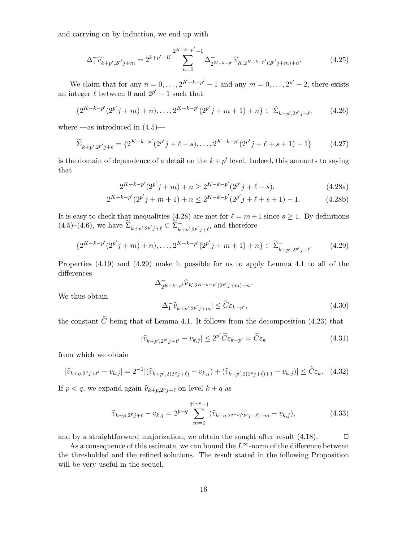and carrying on by induction, we end up with

$$
\Delta_1^- \hat{v}_{k+p',2^{p'}j+m} = 2^{k+p'-K} \sum_{n=0}^{2^{K-k-p'}-1} \Delta_{2^{K-k-p'}}^- \hat{v}_{K,2^{K-k-p'}(2^{p'}j+m)+n}.
$$
\n(4.25)

We claim that for any  $n = 0, \ldots, 2^{K-k-p'}-1$  and any  $m = 0, \ldots, 2^{p'}-2$ , there exists an integer  $\ell$  between 0 and  $2^{p'} - 1$  such that

$$
\{2^{K-k-p'}(2^{p'}j+m)+n),\ldots,2^{K-k-p'}(2^{p'}j+m+1)+n\} \subset \widetilde{\Sigma}_{k+p',2^{p'}j+\ell},\qquad(4.26)
$$

where —as introduced in  $(4.5)$ —

$$
\widetilde{\Sigma}_{k+p',2^{p'}j+\ell} = \{2^{K-k-p'}(2^{p'}j+\ell-s),\ldots,2^{K-k-p'}(2^{p'}j+\ell+s+1)-1\} \tag{4.27}
$$

is the domain of dependence of a detail on the  $k+p'$  level. Indeed, this amounts to saying that

$$
2^{K-k-p'}(2^{p'}j+m)+n \ge 2^{K-k-p'}(2^{p'}j+\ell-s), \tag{4.28a}
$$

$$
2^{K-k-p'}(2^{p'}j+m+1)+n \le 2^{K-k-p'}(2^{p'}j+\ell+s+1)-1.
$$
 (4.28b)

It is easy to check that inequalities (4.28) are met for  $\ell = m+1$  since  $s \geq 1$ . By definitions  $(4.5)-(4.6)$ , we have  $\widetilde{\Sigma}_{k+p',p'p'j+\ell} \subset \widetilde{\Sigma}_{k+p',p'j+\ell}^{-}$ , and therefore

$$
\{2^{K-k-p'}(2^{p'}j+m)+n),\ldots,2^{K-k-p'}(2^{p'}j+m+1)+n\} \subset \widetilde{\Sigma}_{k+p',2^{p'}j+\ell}^{+}.\tag{4.29}
$$

Properties (4.19) and (4.29) make it possible for us to apply Lemma 4.1 to all of the differences

$$
\Delta_{2^{K-k-p'}}^{-} \widehat{v}_{K,2^{K-k-p'}(2^{p'}j+m)+n}.
$$

We thus obtain

$$
|\Delta_1^-\hat{v}_{k+p',2^{p'}j+m}| \le \tilde{C}\varepsilon_{k+p'},\tag{4.30}
$$

the constant  $\tilde{C}$  being that of Lemma 4.1. It follows from the decomposition (4.23) that

$$
|\widehat{v}_{k+p',2^{p'}j+\ell'} - v_{k,j}| \le 2^{p'} \widetilde{C} \varepsilon_{k+p'} = \widetilde{C} \varepsilon_k
$$
\n(4.31)

from which we obtain

$$
|\widehat{v}_{k+q,2^q j+\ell'} - v_{k,j}| = 2^{-1} |(\widehat{v}_{k+p',2(2^q j+\ell)} - v_{k,j}) + (\widehat{v}_{k+p',2(2^q j+\ell)+1} - v_{k,j})| \le \widetilde{C} \varepsilon_k. \tag{4.32}
$$

If  $p < q$ , we expand again  $\widehat{v}_{k+p,2^{p}j+\ell}$  on level  $k+q$  as

$$
\widehat{v}_{k+p,2^{p}j+\ell} - v_{k,j} = 2^{p-q} \sum_{m=0}^{2^{q-p}-1} (\widehat{v}_{k+q,2^{q-p}(2^{p}j+\ell)+m} - v_{k,j}), \qquad (4.33)
$$

and by a straightforward majorization, we obtain the sought after result  $(4.18)$ .  $\Box$ 

As a consequence of this estimate, we can bound the  $L^{\infty}$ -norm of the difference between the thresholded and the refined solutions. The result stated in the following Proposition will be very useful in the sequel.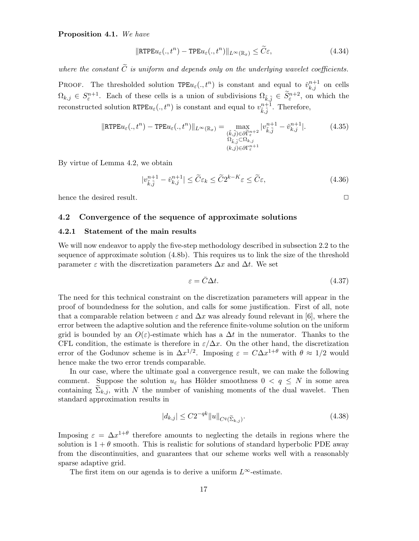#### Proposition 4.1. *We have*

$$
\|\text{RTPE}u_{\varepsilon}(.,t^n) - \text{TPE}u_{\varepsilon}(.,t^n)\|_{L^{\infty}(\mathbb{R}_x)} \le \widetilde{C}\varepsilon,
$$
\n(4.34)

where the constant  $\widetilde{C}$  is uniform and depends only on the underlying wavelet coefficients.

PROOF. The thresholded solution  $\text{TPE}u_{\varepsilon}(.,t^n)$  is constant and equal to  $\tilde{v}_{k,j}^{n+1}$  on cells  $\Omega_{k,j} \in S_{\varepsilon}^{n+1}$ . Each of these cells is a union of subdivisions  $\Omega_{\tilde{k},\tilde{j}} \in \tilde{S}_{\varepsilon}^{n+2}$ , on which the reconstructed solution RTPE $u_{\varepsilon}(.,t^n)$  is constant and equal to  $v^{n+1}_{\tilde{k},\tilde{j}}$ . Therefore,

$$
\|\text{RTPE}u_{\varepsilon}(.,t^n) - \text{TPE}u_{\varepsilon}(.,t^n)\|_{L^{\infty}(\mathbb{R}_x)} = \max_{\substack{(\tilde{k},\tilde{j}) \in \partial \tilde{\Gamma}_{\varepsilon}^{n+1} \\ \Omega_{\tilde{k},\tilde{j}} \subset \Omega_{k,j} \\ (k,j) \in \partial \Gamma_{\varepsilon}^{n+1}}} |v_{\tilde{k},\tilde{j}}^{n+1} - \check{v}_{k,j}^{n+1}|.
$$
(4.35)

By virtue of Lemma 4.2, we obtain

$$
|v_{\tilde{k},\tilde{j}}^{n+1} - \check{v}_{k,j}^{n+1}| \le \tilde{C} \varepsilon_k \le \tilde{C} 2^{k-K} \varepsilon \le \tilde{C} \varepsilon,\tag{4.36}
$$

hence the desired result.  $\Box$ 

#### 4.2 Convergence of the sequence of approximate solutions

#### 4.2.1 Statement of the main results

We will now endeavor to apply the five-step methodology described in subsection 2.2 to the sequence of approximate solution (4.8b). This requires us to link the size of the threshold parameter  $\varepsilon$  with the discretization parameters  $\Delta x$  and  $\Delta t$ . We set

$$
\varepsilon = \bar{C}\Delta t. \tag{4.37}
$$

The need for this technical constraint on the discretization parameters will appear in the proof of boundedness for the solution, and calls for some justification. First of all, note that a comparable relation between  $\varepsilon$  and  $\Delta x$  was already found relevant in [6], where the error between the adaptive solution and the reference finite-volume solution on the uniform grid is bounded by an  $O(\varepsilon)$ -estimate which has a  $\Delta t$  in the numerator. Thanks to the CFL condition, the estimate is therefore in  $\varepsilon/\Delta x$ . On the other hand, the discretization error of the Godunov scheme is in  $\Delta x^{1/2}$ . Imposing  $\varepsilon = C \Delta x^{1+\theta}$  with  $\theta \approx 1/2$  would hence make the two error trends comparable.

In our case, where the ultimate goal a convergence result, we can make the following comment. Suppose the solution  $u_{\varepsilon}$  has Hölder smoothness  $0 < q \leq N$  in some area containing  $\Sigma_{k,j}$ , with N the number of vanishing moments of the dual wavelet. Then standard approximation results in

$$
|d_{k,j}| \le C2^{-qk} \|u\|_{C^q(\widetilde{\Sigma}_{k,j})}.
$$
\n(4.38)

Imposing  $\varepsilon = \Delta x^{1+\theta}$  therefore amounts to neglecting the details in regions where the solution is  $1 + \theta$  smooth. This is realistic for solutions of standard hyperbolic PDE away from the discontinuities, and guarantees that our scheme works well with a reasonably sparse adaptive grid.

The first item on our agenda is to derive a uniform  $L^{\infty}$ -estimate.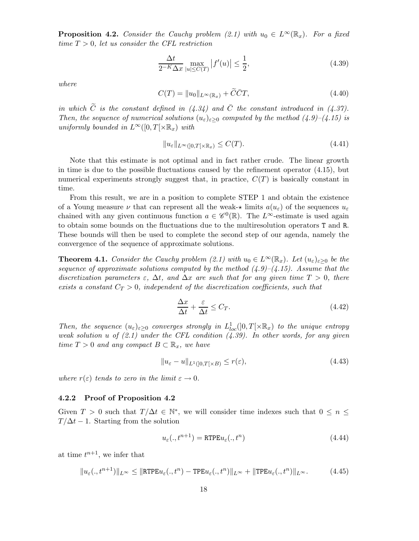**Proposition 4.2.** *Consider the Cauchy problem (2.1) with*  $u_0 \in L^{\infty}(\mathbb{R}_x)$ *. For a fixed*  $time T > 0$ , let us consider the CFL restriction

$$
\frac{\Delta t}{2^{-K}\Delta x} \max_{|u| \le C(T)} |f'(u)| \le \frac{1}{2},\tag{4.39}
$$

*where*

$$
C(T) = ||u_0||_{L^{\infty}(\mathbb{R}_x)} + \widetilde{C}\overline{C}T,
$$
\n(4.40)

*in which*  $\widetilde{C}$  *is the constant defined in (4.34) and*  $\overline{C}$  *the constant introduced in (4.37). Then, the sequence of numerical solutions*  $(u_{\varepsilon})_{\varepsilon \geq 0}$  *computed by the method*  $(4.9)$ – $(4.15)$  *is uniformly bounded in*  $L^{\infty}([0,T]\times\mathbb{R}_x)$  *with* 

$$
||u_{\varepsilon}||_{L^{\infty}(]0,T[\times \mathbb{R}_x)} \le C(T). \tag{4.41}
$$

Note that this estimate is not optimal and in fact rather crude. The linear growth in time is due to the possible fluctuations caused by the refinement operator (4.15), but numerical experiments strongly suggest that, in practice,  $C(T)$  is basically constant in time.

From this result, we are in a position to complete STEP 1 and obtain the existence of a Young measure  $\nu$  that can represent all the weak- $\star$  limits  $a(u_{\varepsilon})$  of the sequences  $u_{\varepsilon}$ chained with any given continuous function  $a \in \mathscr{C}^0(\mathbb{R})$ . The L<sup>∞</sup>-estimate is used again to obtain some bounds on the fluctuations due to the multiresolution operators T and R. These bounds will then be used to complete the second step of our agenda, namely the convergence of the sequence of approximate solutions.

**Theorem 4.1.** *Consider the Cauchy problem (2.1) with*  $u_0 \in L^{\infty}(\mathbb{R}_x)$ *. Let*  $(u_{\varepsilon})_{\varepsilon>0}$  *be the sequence of approximate solutions computed by the method (4.9)–(4.15). Assume that the discretization parameters*  $\varepsilon$ ,  $\Delta t$ *, and*  $\Delta x$  *are such that for any given time*  $T > 0$ *, there exists a constant*  $C_T > 0$ , independent of the discretization coefficients, such that

$$
\frac{\Delta x}{\Delta t} + \frac{\varepsilon}{\Delta t} \le C_T. \tag{4.42}
$$

*Then, the sequence*  $(u_{\varepsilon})_{\varepsilon \geq 0}$  *converges strongly in*  $L^1_{loc}([0,T[\times \mathbb{R}_x])$  *to the unique entropy weak solution* u *of (2.1) under the CFL condition (4.39). In other words, for any given time*  $T > 0$  *and any compact*  $B \subset \mathbb{R}_x$ *, we have* 

$$
||u_{\varepsilon} - u||_{L^{1}(]0,T[\times B)} \le r(\varepsilon), \tag{4.43}
$$

*where*  $r(\varepsilon)$  *tends to zero in the limit*  $\varepsilon \to 0$ *.* 

#### 4.2.2 Proof of Proposition 4.2

Given  $T > 0$  such that  $T/\Delta t \in \mathbb{N}^*$ , we will consider time indexes such that  $0 \leq n \leq$  $T/\Delta t - 1$ . Starting from the solution

$$
u_{\varepsilon}(.,t^{n+1}) = \text{RTPE}u_{\varepsilon}(.,t^n)
$$
\n(4.44)

at time  $t^{n+1}$ , we infer that

$$
||u_{\varepsilon}(.,t^{n+1})||_{L^{\infty}} \le ||\text{RTPE}u_{\varepsilon}(.,t^n) - \text{TPE}u_{\varepsilon}(.,t^n)||_{L^{\infty}} + ||\text{TPE}u_{\varepsilon}(.,t^n)||_{L^{\infty}}.
$$
 (4.45)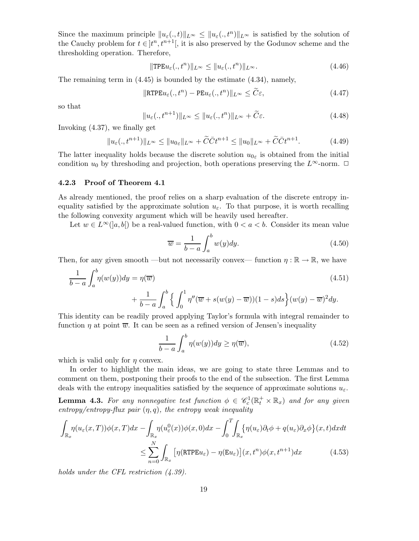Since the maximum principle  $||u_{\varepsilon}(.,t)||_{L^{\infty}} \le ||u_{\varepsilon}(.,t^n)||_{L^{\infty}}$  is satisfied by the solution of the Cauchy problem for  $t \in [t^n, t^{n+1}]$ , it is also preserved by the Godunov scheme and the thresholding operation. Therefore,

$$
\|\text{TPE}u_{\varepsilon}(.,t^n)\|_{L^{\infty}} \le \|u_{\varepsilon}(.,t^n)\|_{L^{\infty}}.
$$
\n(4.46)

The remaining term in (4.45) is bounded by the estimate (4.34), namely,

$$
\|\text{RTPE}u_{\varepsilon}(.,t^n) - \text{PE}u_{\varepsilon}(.,t^n)\|_{L^{\infty}} \le \widetilde{C}\varepsilon,
$$
\n(4.47)

so that

$$
||u_{\varepsilon}(.,t^{n+1})||_{L^{\infty}} \le ||u_{\varepsilon}(.,t^{n})||_{L^{\infty}} + \tilde{C}\varepsilon.
$$
\n(4.48)

Invoking (4.37), we finally get

$$
||u_{\varepsilon}(.,t^{n+1})||_{L^{\infty}} \le ||u_{0\varepsilon}||_{L^{\infty}} + \widetilde{C}\bar{C}t^{n+1} \le ||u_{0}||_{L^{\infty}} + \widetilde{C}\bar{C}t^{n+1}.
$$
 (4.49)

The latter inequality holds because the discrete solution  $u_{0<sub>\varepsilon</sub>}$  is obtained from the initial condition  $u_0$  by threshoding and projection, both operations preserving the  $L^{\infty}$ -norm.  $\Box$ 

#### 4.2.3 Proof of Theorem 4.1

As already mentioned, the proof relies on a sharp evaluation of the discrete entropy inequality satisfied by the approximate solution  $u_{\varepsilon}$ . To that purpose, it is worth recalling the following convexity argument which will be heavily used hereafter.

Let  $w \in L^{\infty}(a, b)$  be a real-valued function, with  $0 < a < b$ . Consider its mean value

$$
\overline{w} = \frac{1}{b-a} \int_{a}^{b} w(y) dy.
$$
\n(4.50)

Then, for any given smooth —but not necessarily convex— function  $\eta : \mathbb{R} \to \mathbb{R}$ , we have

$$
\frac{1}{b-a} \int_a^b \eta(w(y)) dy = \eta(\overline{w})
$$
\n
$$
+ \frac{1}{b-a} \int_a^b \left\{ \int_0^1 \eta''(\overline{w} + s(w(y) - \overline{w}))(1 - s) ds \right\} (w(y) - \overline{w})^2 dy.
$$
\n(4.51)

This identity can be readily proved applying Taylor's formula with integral remainder to function  $\eta$  at point  $\overline{w}$ . It can be seen as a refined version of Jensen's inequality

$$
\frac{1}{b-a} \int_{a}^{b} \eta(w(y)) dy \ge \eta(\overline{w}), \tag{4.52}
$$

which is valid only for  $\eta$  convex.

In order to highlight the main ideas, we are going to state three Lemmas and to comment on them, postponing their proofs to the end of the subsection. The first Lemma deals with the entropy inequalities satisfied by the sequence of approximate solutions  $u_{\varepsilon}$ .

Lemma 4.3. For any nonnegative test function  $\phi \in \mathscr{C}_c^1(\mathbb{R}_t^+ \times \mathbb{R}_x)$  and for any given *entropy/entropy-flux pair* (η,q)*, the entropy weak inequality*

$$
\int_{\mathbb{R}_x} \eta(u_\varepsilon(x,T))\phi(x,T)dx - \int_{\mathbb{R}_x} \eta(u_\varepsilon^0(x))\phi(x,0)dx - \int_0^T \int_{\mathbb{R}_x} \{\eta(u_\varepsilon)\partial_t\phi + q(u_\varepsilon)\partial_x\phi\}(x,t)dxdt
$$
\n
$$
\leq \sum_{n=0}^N \int_{\mathbb{R}_x} \left[\eta(\text{RTPE}_u) - \eta(\text{Eu}_\varepsilon)\right](x,t^n)\phi(x,t^{n+1})dx \tag{4.53}
$$

*holds under the CFL restriction (4.39).*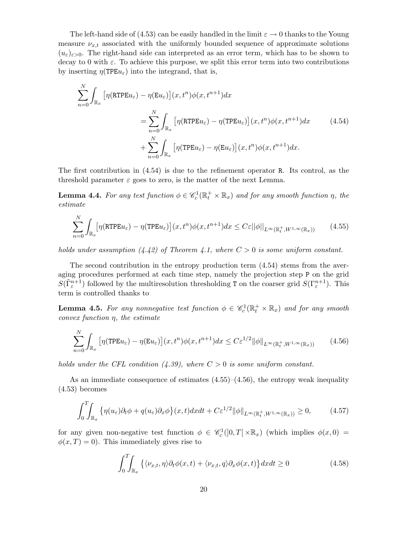The left-hand side of (4.53) can be easily handled in the limit  $\varepsilon \to 0$  thanks to the Young measure  $\nu_{x,t}$  associated with the uniformly bounded sequence of approximate solutions  $(u_{\varepsilon})_{\varepsilon>0}$ . The right-hand side can interpreted as an error term, which has to be shown to decay to 0 with  $\varepsilon$ . To achieve this purpose, we split this error term into two contributions by inserting  $\eta(\text{TPE}u_{\varepsilon})$  into the integrand, that is,

$$
\sum_{n=0}^{N} \int_{\mathbb{R}_x} \left[ \eta(\text{RTPE} u_{\varepsilon}) - \eta(\text{Eu}_{\varepsilon}) \right] (x, t^n) \phi(x, t^{n+1}) dx
$$
\n
$$
= \sum_{n=0}^{N} \int_{\mathbb{R}_x} \left[ \eta(\text{RTPE} u_{\varepsilon}) - \eta(\text{TPE} u_{\varepsilon}) \right] (x, t^n) \phi(x, t^{n+1}) dx \qquad (4.54)
$$
\n
$$
+ \sum_{n=0}^{N} \int_{\mathbb{R}_x} \left[ \eta(\text{TPE} u_{\varepsilon}) - \eta(\text{Eu}_{\varepsilon}) \right] (x, t^n) \phi(x, t^{n+1}) dx.
$$

The first contribution in (4.54) is due to the refinement operator R. Its control, as the threshold parameter  $\varepsilon$  goes to zero, is the matter of the next Lemma.

**Lemma 4.4.** For any test function  $\phi \in \mathcal{C}_c^1(\mathbb{R}_t^+ \times \mathbb{R}_x)$  and for any smooth function  $\eta$ , the *estimate*

$$
\sum_{n=0}^{N} \int_{\mathbb{R}_x} \left[ \eta(\text{RTPE}u_{\varepsilon}) - \eta(\text{TPE}u_{\varepsilon}) \right] (x, t^n) \phi(x, t^{n+1}) dx \leq C \varepsilon ||\phi||_{L^{\infty}(\mathbb{R}_t^+, W^{1,\infty}(\mathbb{R}_x))}
$$
(4.55)

*holds under assumption (4.42) of Theorem 4.1, where*  $C > 0$  *is some uniform constant.* 

The second contribution in the entropy production term (4.54) stems from the averaging procedures performed at each time step, namely the projection step P on the grid  $S(\tilde{\Gamma}_{\varepsilon}^{n+1})$  followed by the multiresolution thresholding T on the coarser grid  $S(\Gamma_{\varepsilon}^{n+1})$ . This term is controlled thanks to

**Lemma 4.5.** For any nonnegative test function  $\phi \in \mathscr{C}_c^1(\mathbb{R}_t^+ \times \mathbb{R}_x)$  and for any smooth *convex function* η*, the estimate*

$$
\sum_{n=0}^{N} \int_{\mathbb{R}_x} \left[ \eta(\text{TPEu}_{\varepsilon}) - \eta(\text{Eu}_{\varepsilon}) \right] (x, t^n) \phi(x, t^{n+1}) dx \le C \varepsilon^{1/2} ||\phi||_{L^{\infty}(\mathbb{R}_t^+, W^{1, \infty}(\mathbb{R}_x))}
$$
(4.56)

*holds under the CFL condition (4.39), where* C > 0 *is some uniform constant.*

As an immediate consequence of estimates  $(4.55)$ – $(4.56)$ , the entropy weak inequality (4.53) becomes

$$
\int_0^T \int_{\mathbb{R}_x} \left\{ \eta(u_\varepsilon) \partial_t \phi + q(u_\varepsilon) \partial_x \phi \right\}(x, t) dx dt + C \varepsilon^{1/2} ||\phi||_{L^\infty(\mathbb{R}_t^+, W^{1, \infty}(\mathbb{R}_x))} \ge 0,
$$
 (4.57)

for any given non-negative test function  $\phi \in \mathscr{C}_c^1(]0,T[ \times \mathbb{R}_x)$  (which implies  $\phi(x,0)$  =  $\phi(x,T) = 0$ . This immediately gives rise to

$$
\int_{0}^{T} \int_{\mathbb{R}_{x}} \left\{ \langle \nu_{x,t}, \eta \rangle \partial_{t} \phi(x,t) + \langle \nu_{x,t}, q \rangle \partial_{x} \phi(x,t) \right\} dx dt \ge 0 \tag{4.58}
$$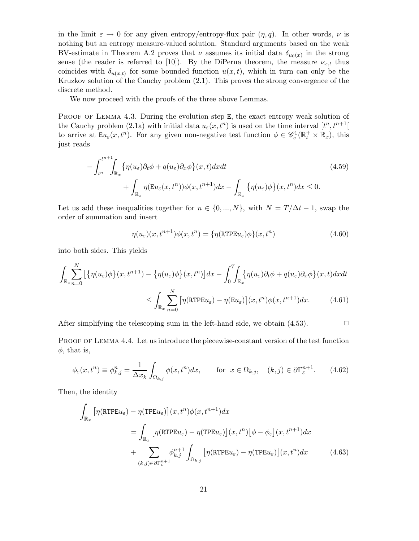in the limit  $\varepsilon \to 0$  for any given entropy/entropy-flux pair  $(\eta, q)$ . In other words,  $\nu$  is nothing but an entropy measure-valued solution. Standard arguments based on the weak BV-estimate in Theorem A.2 proves that  $\nu$  assumes its initial data  $\delta_{u_0(x)}$  in the strong sense (the reader is referred to [10]). By the DiPerna theorem, the measure  $\nu_{x,t}$  thus coincides with  $\delta_{u(x,t)}$  for some bounded function  $u(x,t)$ , which in turn can only be the Kruzkov solution of the Cauchy problem (2.1). This proves the strong convergence of the discrete method.

We now proceed with the proofs of the three above Lemmas.

PROOF OF LEMMA 4.3. During the evolution step E, the exact entropy weak solution of the Cauchy problem (2.1a) with initial data  $u_{\varepsilon}(x,t^n)$  is used on the time interval  $[t^n,t^{n+1}]$ to arrive at  $\mathbf{E} u_{\varepsilon}(x,t^n)$ . For any given non-negative test function  $\phi \in \mathscr{C}_c^1(\mathbb{R}_t^+ \times \mathbb{R}_x)$ , this just reads

$$
-\int_{t^{n}}^{t^{n+1}}\int_{\mathbb{R}_{x}}\left\{\eta(u_{\varepsilon})\partial_{t}\phi+q(u_{\varepsilon})\partial_{x}\phi\right\}(x,t)dxdt
$$
\n
$$
+\int_{\mathbb{R}_{x}}\eta(\mathbf{E}u_{\varepsilon}(x,t^{n}))\phi(x,t^{n+1})dx-\int_{\mathbb{R}_{x}}\left\{\eta(u_{\varepsilon})\phi\right\}(x,t^{n})dx\leq 0.
$$
\n(4.59)

Let us add these inequalities together for  $n \in \{0, ..., N\}$ , with  $N = T/\Delta t - 1$ , swap the order of summation and insert

$$
\eta(u_{\varepsilon})(x, t^{n+1})\phi(x, t^n) = \{\eta(\text{RTPE}u_{\varepsilon})\phi\}(x, t^n) \tag{4.60}
$$

into both sides. This yields

$$
\int_{\mathbb{R}_x} \sum_{n=0}^N \left[ \{ \eta(u_\varepsilon) \phi \} (x, t^{n+1}) - \{ \eta(u_\varepsilon) \phi \} (x, t^n) \right] dx - \int_0^T \int_{\mathbb{R}_x} \{ \eta(u_\varepsilon) \partial_t \phi + q(u_\varepsilon) \partial_x \phi \} (x, t) dx dt
$$
  

$$
\leq \int_{\mathbb{R}_x} \sum_{n=0}^N \left[ \eta(\text{RTPE} u_\varepsilon) - \eta(\text{Eu}_\varepsilon) \right] (x, t^n) \phi(x, t^{n+1}) dx. \tag{4.61}
$$

After simplifying the telescoping sum in the left-hand side, we obtain  $(4.53)$ .

PROOF OF LEMMA 4.4. Let us introduce the piecewise-constant version of the test function  $\phi$ , that is,

$$
\phi_{\varepsilon}(x,t^n) \equiv \phi_{k,j}^n = \frac{1}{\Delta x_k} \int_{\Omega_{k,j}} \phi(x,t^n) dx, \qquad \text{for } x \in \Omega_{k,j}, \quad (k,j) \in \partial \Gamma_{\varepsilon}^{n+1}.
$$
 (4.62)

Then, the identity

$$
\int_{\mathbb{R}_x} \left[ \eta(\text{RTPE} u_{\varepsilon}) - \eta(\text{TPE} u_{\varepsilon}) \right] (x, t^n) \phi(x, t^{n+1}) dx
$$
\n
$$
= \int_{\mathbb{R}_x} \left[ \eta(\text{RTPE} u_{\varepsilon}) - \eta(\text{TPE} u_{\varepsilon}) \right] (x, t^n) \left[ \phi - \phi_{\varepsilon} \right] (x, t^{n+1}) dx
$$
\n
$$
+ \sum_{(k,j) \in \partial \Gamma_{\varepsilon}^{n+1}} \phi_{k,j}^{n+1} \int_{\Omega_{k,j}} \left[ \eta(\text{RTPE} u_{\varepsilon}) - \eta(\text{TPE} u_{\varepsilon}) \right] (x, t^n) dx \tag{4.63}
$$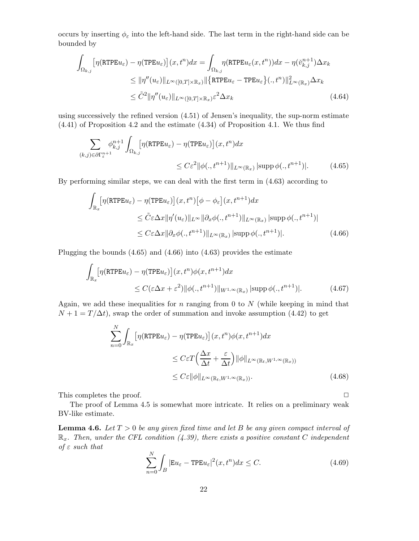occurs by inserting  $\phi_\varepsilon$  into the left-hand side. The last term in the right-hand side can be bounded by

$$
\int_{\Omega_{k,j}} \left[ \eta(\text{RTPE}u_{\varepsilon}) - \eta(\text{TPE}u_{\varepsilon}) \right](x, t^{n}) dx = \int_{\Omega_{k,j}} \eta(\text{RTPE}u_{\varepsilon}(x, t^{n})) dx - \eta(\tilde{v}_{k,j}^{n+1}) \Delta x_{k}
$$
\n
$$
\leq ||\eta''(u_{\varepsilon})||_{L^{\infty}([0, T] \times \mathbb{R}_{x})} ||\{\text{RTPE}u_{\varepsilon} - \text{TPE}u_{\varepsilon}\}(\cdot, t^{n})||_{L^{\infty}(\mathbb{R}_{x})}^{2} \Delta x_{k}
$$
\n
$$
\leq \tilde{C}^{2} ||\eta''(u_{\varepsilon})||_{L^{\infty}([0, T] \times \mathbb{R}_{x})} \varepsilon^{2} \Delta x_{k}
$$
\n(4.64)

using successively the refined version (4.51) of Jensen's inequality, the sup-norm estimate (4.41) of Proposition 4.2 and the estimate (4.34) of Proposition 4.1. We thus find

$$
\sum_{(k,j)\in\partial\Gamma_{\varepsilon}^{n+1}} \phi_{k,j}^{n+1} \int_{\Omega_{k,j}} [\eta(\text{RTPE}_{u_{\varepsilon}}) - \eta(\text{TPE}_{u_{\varepsilon}})](x,t^n) dx
$$
\n
$$
\leq C\varepsilon^2 \|\phi(.,t^{n+1})\|_{L^{\infty}(\mathbb{R}_x)} |\text{supp}\,\phi(.,t^{n+1})|.
$$
\n(4.65)

By performing similar steps, we can deal with the first term in (4.63) according to

$$
\int_{\mathbb{R}_x} \left[ \eta(\text{RTPE} u_{\varepsilon}) - \eta(\text{TPE} u_{\varepsilon}) \right] (x, t^n) \left[ \phi - \phi_{\varepsilon} \right] (x, t^{n+1}) dx
$$
\n
$$
\leq \tilde{C} \varepsilon \Delta x \| \eta'(u_{\varepsilon}) \|_{L^\infty} \| \partial_x \phi(., t^{n+1}) \|_{L^\infty(\mathbb{R}_x)} |\text{supp } \phi(., t^{n+1})|
$$
\n
$$
\leq C \varepsilon \Delta x \| \partial_x \phi(., t^{n+1}) \|_{L^\infty(\mathbb{R}_x)} |\text{supp } \phi(., t^{n+1})|.
$$
\n(4.66)

Plugging the bounds (4.65) and (4.66) into (4.63) provides the estimate

$$
\int_{\mathbb{R}_x} \left[ \eta(\text{RTPE} u_\varepsilon) - \eta(\text{TPE} u_\varepsilon) \right] (x, t^n) \phi(x, t^{n+1}) dx
$$
\n
$$
\leq C(\varepsilon \Delta x + \varepsilon^2) \|\phi(., t^{n+1})\|_{W^{1,\infty}(\mathbb{R}_x)} |\text{supp}\,\phi(., t^{n+1})|.
$$
\n(4.67)

Again, we add these inequalities for  $n$  ranging from 0 to  $N$  (while keeping in mind that  $N+1 = T/\Delta t$ , swap the order of summation and invoke assumption (4.42) to get

$$
\sum_{n=0}^{N} \int_{\mathbb{R}_x} \left[ \eta(\text{RTPE} u_{\varepsilon}) - \eta(\text{TPE} u_{\varepsilon}) \right] (x, t^n) \phi(x, t^{n+1}) dx
$$
\n
$$
\leq C \varepsilon T \Big( \frac{\Delta x}{\Delta t} + \frac{\varepsilon}{\Delta t} \Big) ||\phi||_{L^{\infty}(\mathbb{R}_t, W^{1, \infty}(\mathbb{R}_x))}
$$
\n
$$
\leq C \varepsilon ||\phi||_{L^{\infty}(\mathbb{R}_t, W^{1, \infty}(\mathbb{R}_x))}.
$$
\n(4.68)

This completes the proof.  $\Box$ 

The proof of Lemma 4.5 is somewhat more intricate. It relies on a preliminary weak BV-like estimate.

Lemma 4.6. *Let* T > 0 *be any given fixed time and let* B *be any given compact interval of* Rx*. Then, under the CFL condition (4.39), there exists a positive constant* C *independent of* ε *such that*

$$
\sum_{n=0}^{N} \int_{B} |\mathbf{E} u_{\varepsilon} - \mathbf{TPE} u_{\varepsilon}|^{2} (x, t^{n}) dx \le C.
$$
 (4.69)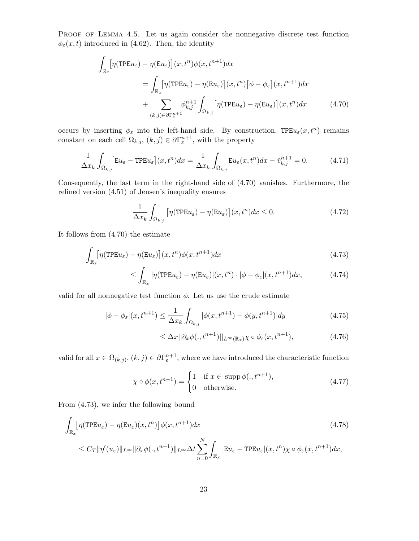PROOF OF LEMMA 4.5. Let us again consider the nonnegative discrete test function  $\phi_{\varepsilon}(x,t)$  introduced in (4.62). Then, the identity

$$
\int_{\mathbb{R}_x} \left[ \eta(\text{TPE} u_{\varepsilon}) - \eta(\text{E} u_{\varepsilon}) \right] (x, t^n) \phi(x, t^{n+1}) dx
$$
\n
$$
= \int_{\mathbb{R}_x} \left[ \eta(\text{TPE} u_{\varepsilon}) - \eta(\text{E} u_{\varepsilon}) \right] (x, t^n) \left[ \phi - \phi_{\varepsilon} \right] (x, t^{n+1}) dx
$$
\n
$$
+ \sum_{(k,j) \in \partial \Gamma_{\varepsilon}^{n+1}} \phi_{k,j}^{n+1} \int_{\Omega_{k,j}} \left[ \eta(\text{TPE} u_{\varepsilon}) - \eta(\text{E} u_{\varepsilon}) \right] (x, t^n) dx \tag{4.70}
$$

occurs by inserting  $\phi_{\varepsilon}$  into the left-hand side. By construction, TPE $u_{\varepsilon}(x,t^n)$  remains constant on each cell  $\Omega_{k,j}, (k,j) \in \partial \Gamma_{\varepsilon}^{n+1}$ , with the property

$$
\frac{1}{\Delta x_k} \int_{\Omega_{k,j}} \left[ \mathbf{E} u_{\varepsilon} - \mathbf{TPE} u_{\varepsilon} \right] (x, t^n) dx = \frac{1}{\Delta x_k} \int_{\Omega_{k,j}} \mathbf{E} u_{\varepsilon} (x, t^n) dx - \mathring{v}_{k,j}^{n+1} = 0. \tag{4.71}
$$

Consequently, the last term in the right-hand side of (4.70) vanishes. Furthermore, the refined version (4.51) of Jensen's inequality ensures

$$
\frac{1}{\Delta x_k} \int_{\Omega_{k,j}} \left[ \eta(\text{TPE} u_\varepsilon) - \eta(\text{E} u_\varepsilon) \right] (x, t^n) dx \le 0. \tag{4.72}
$$

It follows from (4.70) the estimate

$$
\int_{\mathbb{R}_x} \left[ \eta(\text{TPE} u_\varepsilon) - \eta(\text{E} u_\varepsilon) \right] (x, t^n) \phi(x, t^{n+1}) dx \tag{4.73}
$$

$$
\leq \int_{\mathbb{R}_x} |\eta(\text{TPE}u_{\varepsilon}) - \eta(\text{E}u_{\varepsilon})|(x, t^n) \cdot |\phi - \phi_{\varepsilon}|(x, t^{n+1}) dx, \tag{4.74}
$$

valid for all nonnegative test function  $\phi$ . Let us use the crude estimate

$$
|\phi - \phi_{\varepsilon}|(x, t^{n+1}) \le \frac{1}{\Delta x_k} \int_{\Omega_{k,j}} |\phi(x, t^{n+1}) - \phi(y, t^{n+1})| dy \tag{4.75}
$$

$$
\leq \Delta x ||\partial_x \phi(., t^{n+1})||_{L^\infty(\mathbb{R}_x)} \chi \circ \phi_\varepsilon(x, t^{n+1}), \tag{4.76}
$$

valid for all  $x \in \Omega_{(k,j)}$ ,  $(k,j) \in \partial \Gamma_{\varepsilon}^{n+1}$ , where we have introduced the characteristic function

$$
\chi \circ \phi(x, t^{n+1}) = \begin{cases} 1 & \text{if } x \in \text{supp } \phi(., t^{n+1}), \\ 0 & \text{otherwise.} \end{cases}
$$
 (4.77)

From (4.73), we infer the following bound

$$
\int_{\mathbb{R}_x} \left[ \eta(\text{TPEu}_{\varepsilon}) - \eta(\text{Eu}_{\varepsilon}) (x, t^n) \right] \phi(x, t^{n+1}) dx \tag{4.78}
$$
\n
$$
\leq C_T \|\eta'(u_{\varepsilon})\|_{L^\infty} \|\partial_x \phi(., t^{n+1})\|_{L^\infty} \Delta t \sum_{n=0}^N \int_{\mathbb{R}_x} |\text{Eu}_{\varepsilon} - \text{TPEu}_{\varepsilon}|(x, t^n) \chi \circ \phi_{\varepsilon}(x, t^{n+1}) dx,
$$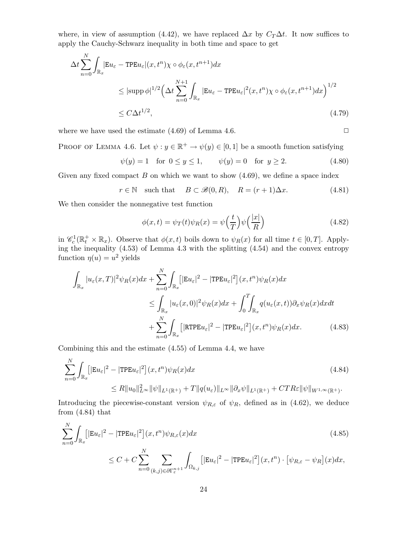where, in view of assumption (4.42), we have replaced  $\Delta x$  by  $C_T\Delta t$ . It now suffices to apply the Cauchy-Schwarz inequality in both time and space to get

$$
\Delta t \sum_{n=0}^{N} \int_{\mathbb{R}^x} |\mathbf{E} u_{\varepsilon} - \text{TPE} u_{\varepsilon}|(x, t^n) \chi \circ \phi_{\varepsilon}(x, t^{n+1}) dx
$$
  
\n
$$
\leq |\text{supp }\phi|^{1/2} \Big( \Delta t \sum_{n=0}^{N+1} \int_{\mathbb{R}^x} |\mathbf{E} u_{\varepsilon} - \text{TPE} u_{\varepsilon}|^2(x, t^n) \chi \circ \phi_{\varepsilon}(x, t^{n+1}) dx \Big)^{1/2}
$$
  
\n
$$
\leq C \Delta t^{1/2}, \tag{4.79}
$$

where we have used the estimate  $(4.69)$  of Lemma 4.6.  $\Box$ 

PROOF OF LEMMA 4.6. Let  $\psi : y \in \mathbb{R}^+ \to \psi(y) \in [0,1]$  be a smooth function satisfying

$$
\psi(y) = 1
$$
 for  $0 \le y \le 1$ ,  $\psi(y) = 0$  for  $y \ge 2$ . (4.80)

Given any fixed compact  $B$  on which we want to show  $(4.69)$ , we define a space index

 $r \in \mathbb{N}$  such that  $B \subset \mathcal{B}(0,R)$ ,  $R = (r+1)\Delta x$ . (4.81)

We then consider the nonnegative test function

$$
\phi(x,t) = \psi_T(t)\psi_R(x) = \psi\left(\frac{t}{T}\right)\psi\left(\frac{|x|}{R}\right)
$$
\n(4.82)

in  $\mathscr{C}_c^1(\mathbb{R}_t^+ \times \mathbb{R}_x)$ . Observe that  $\phi(x,t)$  boils down to  $\psi_R(x)$  for all time  $t \in [0,T]$ . Applying the inequality (4.53) of Lemma 4.3 with the splitting (4.54) and the convex entropy function  $\eta(u) = u^2$  yields

$$
\int_{\mathbb{R}_x} |u_{\varepsilon}(x,T)|^2 \psi_R(x) dx + \sum_{n=0}^N \int_{\mathbb{R}_x} [|Eu_{\varepsilon}|^2 - |\text{TPEu}_{\varepsilon}|^2] (x,t^n) \psi_R(x) dx
$$
\n
$$
\leq \int_{\mathbb{R}_x} |u_{\varepsilon}(x,0)|^2 \psi_R(x) dx + \int_0^T \int_{\mathbb{R}_x} q(u_{\varepsilon}(x,t)) \partial_x \psi_R(x) dx dt
$$
\n
$$
+ \sum_{n=0}^N \int_{\mathbb{R}_x} [|R \text{TPEu}_{\varepsilon}|^2 - |\text{TPEu}_{\varepsilon}|^2] (x,t^n) \psi_R(x) dx. \tag{4.83}
$$

Combining this and the estimate (4.55) of Lemma 4.4, we have

$$
\sum_{n=0}^{N} \int_{\mathbb{R}_x} [|\mathbf{E}u_{\varepsilon}|^2 - |\mathbf{TPE}u_{\varepsilon}|^2](x, t^n)\psi_R(x)dx
$$
\n
$$
\leq R \|u_0\|_{L^{\infty}}^2 \|\psi\|_{L^1(\mathbb{R}^+)} + T \|q(u_{\varepsilon})\|_{L^{\infty}} \|\partial_x \psi\|_{L^1(\mathbb{R}^+)} + CTR\varepsilon \|\psi\|_{W^{1,\infty}(\mathbb{R}^+)}.
$$
\n(4.84)

Introducing the piecewise-constant version  $\psi_{R,\varepsilon}$  of  $\psi_R$ , defined as in (4.62), we deduce from (4.84) that

$$
\sum_{n=0}^{N} \int_{\mathbb{R}_x} [|\mathbf{E} u_{\varepsilon}|^2 - |\mathbf{TPE} u_{\varepsilon}|^2] (x, t^n) \psi_{R, \varepsilon}(x) dx \tag{4.85}
$$
\n
$$
\leq C + C \sum_{n=0}^{N} \sum_{(k, j) \in \partial \Gamma_{\varepsilon}^{n+1}} \int_{\Omega_{k, j}} [|\mathbf{E} u_{\varepsilon}|^2 - |\mathbf{TPE} u_{\varepsilon}|^2] (x, t^n) \cdot [\psi_{R, \varepsilon} - \psi_R] (x) dx,
$$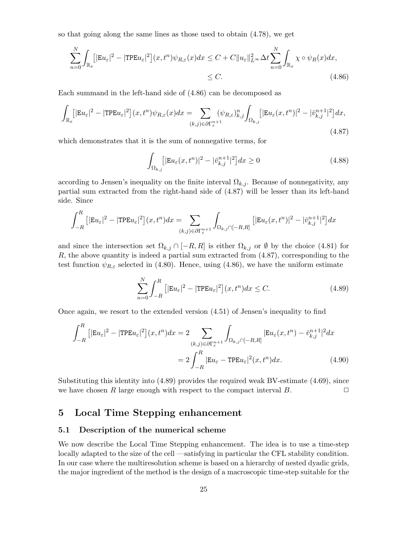so that going along the same lines as those used to obtain (4.78), we get

$$
\sum_{n=0}^{N} \int_{\mathbb{R}_x} \left[ |\mathbf{E} u_{\varepsilon}|^2 - |\mathbf{TPE} u_{\varepsilon}|^2 \right] (x, t^n) \psi_{R, \varepsilon}(x) dx \le C + C \| u_{\varepsilon} \|_{L^{\infty}}^2 \Delta t \sum_{n=0}^{N} \int_{\mathbb{R}_x} \chi \circ \psi_R(x) dx,
$$
  
  $\le C.$  (4.86)

Each summand in the left-hand side of (4.86) can be decomposed as

$$
\int_{\mathbb{R}_x} [|\mathbf{E} u_{\varepsilon}|^2 - |\mathbf{TP} \mathbf{E} u_{\varepsilon}|^2](x, t^n) \psi_{R, \varepsilon}(x) dx = \sum_{(k,j) \in \partial \Gamma_{\varepsilon}^{n+1}} (\psi_{R, \varepsilon})_{k,j}^n \int_{\Omega_{k,j}} [|\mathbf{E} u_{\varepsilon}(x, t^n)|^2 - |\mathring{v}_{k,j}^{n+1}|^2] dx,
$$
\n(4.87)

which demonstrates that it is the sum of nonnegative terms, for

$$
\int_{\Omega_{k,j}} \left[ |\mathbf{E} u_{\varepsilon}(x, t^n)|^2 - |\check{v}_{k,j}^{n+1}|^2 \right] dx \ge 0 \tag{4.88}
$$

according to Jensen's inequality on the finite interval  $\Omega_{k,j}$ . Because of nonnegativity, any partial sum extracted from the right-hand side of (4.87) will be lesser than its left-hand side. Since

$$
\int_{-R}^{R} \left[ |\mathbf{E} u_{\varepsilon}|^{2} - |\mathbf{TPE} u_{\varepsilon}|^{2} \right] (x, t^{n}) dx = \sum_{(k,j) \in \partial \Gamma_{\varepsilon}^{n+1}} \int_{\Omega_{k,j} \cap [-R, R]} \left[ |\mathbf{E} u_{\varepsilon}(x, t^{n})|^{2} - |\check{v}_{k,j}^{n+1}|^{2} \right] dx
$$

and since the intersection set  $\Omega_{k,j} \cap [-R,R]$  is either  $\Omega_{k,j}$  or  $\emptyset$  by the choice (4.81) for R, the above quantity is indeed a partial sum extracted from (4.87), corresponding to the test function  $\psi_{R,\varepsilon}$  selected in (4.80). Hence, using (4.86), we have the uniform estimate

$$
\sum_{n=0}^{N} \int_{-R}^{R} \left[ |\mathbf{E} u_{\varepsilon}|^{2} - |\mathbf{TPE} u_{\varepsilon}|^{2} \right] (x, t^{n}) dx \le C.
$$
 (4.89)

Once again, we resort to the extended version (4.51) of Jensen's inequality to find

$$
\int_{-R}^{R} \left[ |\mathbf{E} u_{\varepsilon}|^{2} - |\mathbf{TPE} u_{\varepsilon}|^{2} \right] (x, t^{n}) dx = 2 \sum_{(k,j) \in \partial \Gamma_{\varepsilon}^{n+1}} \int_{\Omega_{k,j} \cap [-R, R]} |\mathbf{E} u_{\varepsilon}(x, t^{n}) - \check{v}_{k,j}^{n+1}|^{2} dx
$$

$$
= 2 \int_{-R}^{R} |\mathbf{E} u_{\varepsilon} - \mathbf{TPE} u_{\varepsilon}|^{2} (x, t^{n}) dx. \tag{4.90}
$$

Substituting this identity into (4.89) provides the required weak BV-estimate (4.69), since we have chosen R large enough with respect to the compact interval  $B$ .

### 5 Local Time Stepping enhancement

#### 5.1 Description of the numerical scheme

We now describe the Local Time Stepping enhancement. The idea is to use a time-step locally adapted to the size of the cell —satisfying in particular the CFL stability condition. In our case where the multiresolution scheme is based on a hierarchy of nested dyadic grids, the major ingredient of the method is the design of a macroscopic time-step suitable for the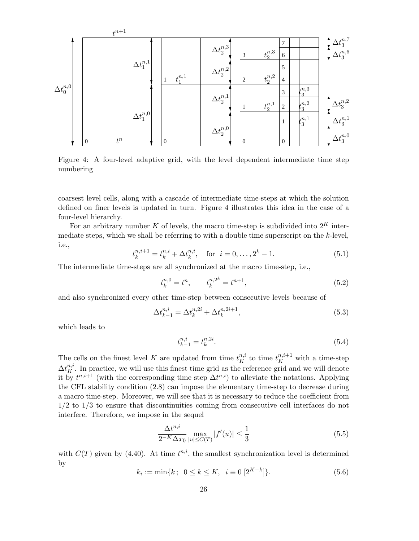

Figure 4: A four-level adaptive grid, with the level dependent intermediate time step numbering

coarsest level cells, along with a cascade of intermediate time-steps at which the solution defined on finer levels is updated in turn. Figure 4 illustrates this idea in the case of a four-level hierarchy.

For an arbitrary number K of levels, the macro time-step is subdivided into  $2^K$  intermediate steps, which we shall be referring to with a double time superscript on the k-level, i.e.,

$$
t_k^{n,i+1} = t_k^{n,i} + \Delta t_k^{n,i}, \quad \text{for } i = 0, \dots, 2^k - 1.
$$
 (5.1)

The intermediate time-steps are all synchronized at the macro time-step, i.e.,

$$
t_k^{n,0} = t^n, \qquad t_k^{n,2^k} = t^{n+1}, \tag{5.2}
$$

and also synchronized every other time-step between consecutive levels because of

$$
\Delta t_{k-1}^{n,i} = \Delta t_k^{n,2i} + \Delta t_k^{n,2i+1},\tag{5.3}
$$

which leads to

$$
t_{k-1}^{n,i} = t_k^{n,2i}.\tag{5.4}
$$

The cells on the finest level K are updated from time  $t_K^{n,i}$  to time  $t_K^{n,i+1}$  with a time-step  $\Delta t_K^{n,i}$ . In practice, we will use this finest time grid as the reference grid and we will denote it by  $t^{n,i+1}$  (with the corresponding time step  $\Delta t^{n,i}$ ) to alleviate the notations. Applying the CFL stability condition (2.8) can impose the elementary time-step to decrease during a macro time-step. Moreover, we will see that it is necessary to reduce the coefficient from 1/2 to 1/3 to ensure that discontinuities coming from consecutive cell interfaces do not interfere. Therefore, we impose in the sequel

$$
\frac{\Delta t^{n,i}}{2^{-K}\Delta x_0} \max_{|u| \le C(T)} |f'(u)| \le \frac{1}{3}
$$
\n(5.5)

with  $C(T)$  given by (4.40). At time  $t^{n,i}$ , the smallest synchronization level is determined by

$$
k_i := \min\{k \, ; \, 0 \le k \le K, \, i \equiv 0 \, [2^{K-k}]\}. \tag{5.6}
$$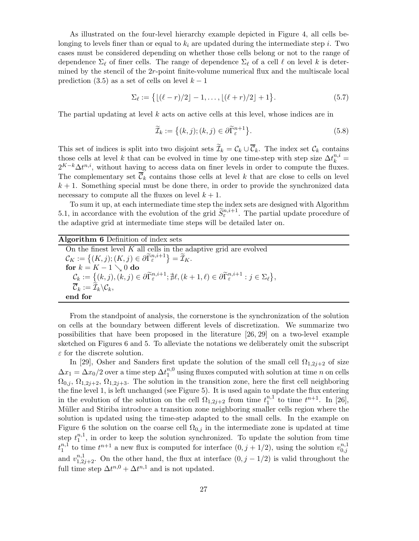As illustrated on the four-level hierarchy example depicted in Figure 4, all cells belonging to levels finer than or equal to  $k_i$  are updated during the intermediate step i. Two cases must be considered depending on whether those cells belong or not to the range of dependence  $\Sigma_{\ell}$  of finer cells. The range of dependence  $\Sigma_{\ell}$  of a cell  $\ell$  on level k is determined by the stencil of the 2r-point finite-volume numerical flux and the multiscale local prediction (3.5) as a set of cells on level  $k-1$ 

$$
\Sigma_{\ell} := \{ \lfloor (\ell - r)/2 \rfloor - 1, \dots, \lfloor (\ell + r)/2 \rfloor + 1 \}. \tag{5.7}
$$

The partial updating at level k acts on active cells at this level, whose indices are in

$$
\widetilde{\mathcal{I}}_k := \left\{ (k, j); (k, j) \in \partial \widetilde{\Gamma}_{\varepsilon}^{n+1} \right\}.
$$
\n(5.8)

This set of indices is split into two disjoint sets  $\mathcal{I}_k = \mathcal{C}_k \cup \mathcal{C}_k$ . The index set  $\mathcal{C}_k$  contains those cells at level k that can be evolved in time by one time-step with step size  $\Delta t_k^{n,i} =$  $2^{K-k}\Delta t^{n,i}$ , without having to access data on finer levels in order to compute the fluxes. The complementary set  $\overline{\mathcal{C}}_k$  contains those cells at level k that are close to cells on level  $k + 1$ . Something special must be done there, in order to provide the synchronized data necessary to compute all the fluxes on level  $k + 1$ .

To sum it up, at each intermediate time step the index sets are designed with Algorithm 5.1, in accordance with the evolution of the grid  $\tilde{S}_{\varepsilon}^{n,i+1}$ . The partial update procedure of the adaptive grid at intermediate time steps will be detailed later on.

| <b>Algorithm 6</b> Definition of index sets                                                                                                                                                             |
|---------------------------------------------------------------------------------------------------------------------------------------------------------------------------------------------------------|
| On the finest level $K$ all cells in the adaptive grid are evolved                                                                                                                                      |
| $\mathcal{C}_K := \{(K, j) ; (K, j) \in \partial \widetilde{\Gamma}_{\varepsilon}^{n, i+1} \} = \widetilde{\mathcal{I}}_K.$                                                                             |
| for $k = K - 1 \searrow 0$ do                                                                                                                                                                           |
| $\mathcal{C}_k := \{(k, j), (k, j) \in \partial \widetilde{\Gamma}_{\varepsilon}^{n, i+1}; \nexists \ell, (k+1, \ell) \in \partial \widetilde{\Gamma}_{\varepsilon}^{n, i+1} : j \in \Sigma_{\ell}\},\$ |
| $\overline{\mathcal{C}}_k := \widetilde{\mathcal{I}}_k \backslash \mathcal{C}_k,$                                                                                                                       |
| end for                                                                                                                                                                                                 |

From the standpoint of analysis, the cornerstone is the synchronization of the solution on cells at the boundary between different levels of discretization. We summarize two possibilities that have been proposed in the literature [26, 29] on a two-level example sketched on Figures 6 and 5. To alleviate the notations we deliberately omit the subscript  $\varepsilon$  for the discrete solution.

In [29], Osher and Sanders first update the solution of the small cell  $\Omega_{1,2j+2}$  of size  $\Delta x_1 = \Delta x_0/2$  over a time step  $\Delta t_1^{n,0}$  $\frac{n}{1}$  using fluxes computed with solution at time *n* on cells  $\Omega_{0,i}, \Omega_{1,2i+2}, \Omega_{1,2i+3}$ . The solution in the transition zone, here the first cell neighboring the fine level 1, is left unchanged (see Figure 5). It is used again to update the flux entering in the evolution of the solution on the cell  $\Omega_{1,2j+2}$  from time  $t_1^{n,1}$  $_{1}^{n,1}$  to time  $t^{n+1}$ . In [26], Müller and Stiriba introduce a transition zone neighboring smaller cells region where the solution is updated using the time-step adapted to the small cells. In the example on Figure 6 the solution on the coarse cell  $\Omega_{0,j}$  in the intermediate zone is updated at time step  $t_1^{n,1}$  $\mathbb{I}_{1}^{n,1}$ , in order to keep the solution synchronized. To update the solution from time  $t_1^{n,1}$  $n_1^{n,1}$  to time  $t^{n+1}$  a new flux is computed for interface  $(0, j + 1/2)$ , using the solution  $v_{0,j}^{n,1}$  $_{0,j}$ and  $v_{1,2j+2}^{n,1}$ . On the other hand, the flux at interface  $(0, j - 1/2)$  is valid throughout the full time step  $\Delta t^{n,0} + \Delta t^{n,1}$  and is not updated.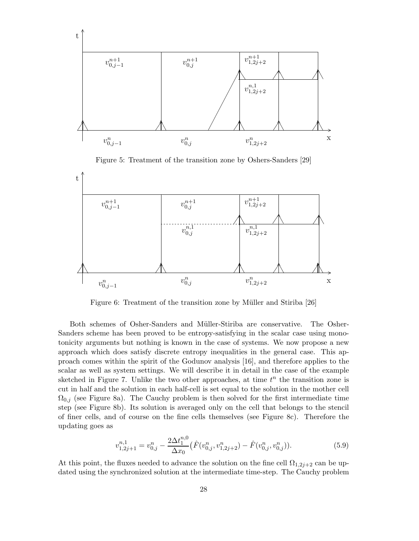

Figure 5: Treatment of the transition zone by Oshers-Sanders [29]



Figure 6: Treatment of the transition zone by Müller and Stiriba [26]

Both schemes of Osher-Sanders and Müller-Stiriba are conservative. The Osher-Sanders scheme has been proved to be entropy-satisfying in the scalar case using monotonicity arguments but nothing is known in the case of systems. We now propose a new approach which does satisfy discrete entropy inequalities in the general case. This approach comes within the spirit of the Godunov analysis [16], and therefore applies to the scalar as well as system settings. We will describe it in detail in the case of the example sketched in Figure 7. Unlike the two other approaches, at time  $t^n$  the transition zone is cut in half and the solution in each half-cell is set equal to the solution in the mother cell  $\Omega_{0,j}$  (see Figure 8a). The Cauchy problem is then solved for the first intermediate time step (see Figure 8b). Its solution is averaged only on the cell that belongs to the stencil of finer cells, and of course on the fine cells themselves (see Figure 8c). Therefore the updating goes as

$$
v_{1,2j+1}^{n,1} = v_{0,j}^n - \frac{2\Delta t_1^{n,0}}{\Delta x_0} \left( \hat{F}(v_{0,j}^n, v_{1,2j+2}^n) - \hat{F}(v_{0,j}^n, v_{0,j}^n) \right).
$$
 (5.9)

At this point, the fluxes needed to advance the solution on the fine cell  $\Omega_{1,2j+2}$  can be updated using the synchronized solution at the intermediate time-step. The Cauchy problem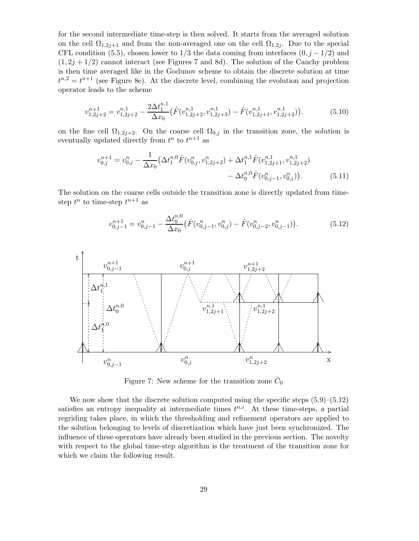for the second intermediate time-step is then solved. It starts from the averaged solution on the cell  $\Omega_{1,2j+1}$  and from the non-averaged one on the cell  $\Omega_{1,2j}$ . Due to the special CFL condition (5.5), chosen lower to 1/3 the data coming from interfaces  $(0,j-1/2)$  and  $(1, 2j + 1/2)$  cannot interact (see Figures 7 and 8d). The solution of the Cauchy problem is then time averaged like in the Godunov scheme to obtain the discrete solution at time  $t^{n,2} = t^{n+1}$  (see Figure 8e). At the discrete level, combining the evolution and projection operator leads to the scheme

$$
v_{1,2j+2}^{n+1} = v_{1,2j+2}^{n,1} - \frac{2\Delta t_1^{n,1}}{\Delta x_0} \left( \hat{F}(v_{1,2j+2}^{n,1}, v_{1,2j+3}^{n,1}) - \hat{F}(v_{1,2j+1}^{n,1}, v_{1,2j+2}^{n,1}) \right). \tag{5.10}
$$

on the fine cell  $\Omega_{1,2j+2}$ . On the coarse cell  $\Omega_{0,j}$  in the transition zone, the solution is eventually updated directly from  $t^n$  to  $t^{n+1}$  as

$$
v_{0,j}^{n+1} = v_{0,j}^n - \frac{1}{\Delta x_0} \left( \Delta t_1^{n,0} \hat{F}(v_{0,j}^n, v_{1,2j+2}^n) + \Delta t_1^{n,1} \hat{F}(v_{1,2j+1}^{n,1}, v_{1,2j+2}^{n,1}) - \Delta t_0^{n,0} \hat{F}(v_{0,j-1}^n, v_{0,j}^n) \right).
$$
(5.11)

The solution on the coarse cells outside the transition zone is directly updated from timestep  $t^n$  to time-step  $t^{n+1}$  as

$$
v_{0,j-1}^{n+1} = v_{0,j-1}^n - \frac{\Delta t_0^{n,0}}{\Delta x_0} \left( \hat{F}(v_{0,j-1}^n, v_{0,j}^n) - \hat{F}(v_{0,j-2}^n, v_{0,j-1}^n) \right).
$$
 (5.12)



Figure 7: New scheme for the transition zone  $\bar{C}_0$ 

We now show that the discrete solution computed using the specific steps  $(5.9)$ – $(5.12)$ satisfies an entropy inequality at intermediate times  $t^{n,i}$ . At these time-steps, a partial regriding takes place, in which the thresholding and refinement operators are applied to the solution belonging to levels of discretization which have just been synchronized. The influence of these operators have already been studied in the previous section. The novelty with respect to the global time-step algorithm is the treatment of the transition zone for which we claim the following result.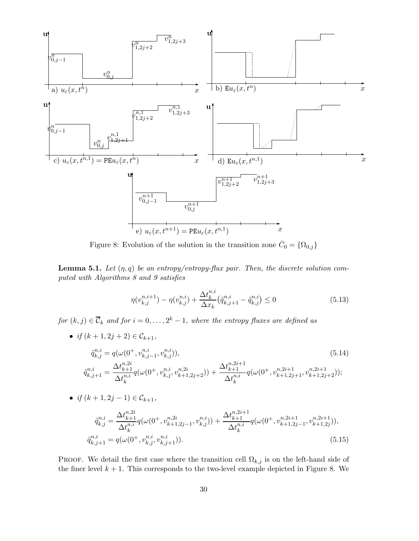

Figure 8: Evolution of the solution in the transition zone  $\bar{C}_0 = \{\Omega_{0,j}\}\$ 

**Lemma 5.1.** Let  $(\eta, q)$  be an entropy/entropy-flux pair. Then, the discrete solution com*puted with Algorithms 8 and 9 satisfies*

$$
\eta(v_{k,j}^{n,i+1}) - \eta(v_{k,j}^{n,i}) + \frac{\Delta t_k^{n,i}}{\Delta x_k} (\tilde{q}_{k,j+1}^{n,i} - \tilde{q}_{k,j}^{n,i}) \le 0 \tag{5.13}
$$

 $for (k, j) \in \overline{\mathcal{C}}_k$  and  $for i = 0, \ldots, 2^k - 1$ , where the entropy fluxes are defined as

• *if*  $(k+1, 2j+2) \in C_{k+1}$ ,  $\tilde{q}_{k,j}^{n,i} = q(\omega(0^+, v_{k,j}^{n,i}))$  $\mathbf{z}_{k,j-1}^{n,i}, \mathbf{v}_{k,j}^{n,i}$  $\binom{n, i}{k, j}$ , (5.14)  $\tilde{q}^{n,i}_{k,j+1} =$  $\Delta t^{n,2i}_{k+1}$  $k+1$  $\Delta t^{n,i}_k$ k  $q(\omega(0^+, v^{n,i}_{k,j}, v^{n,2i}_{k+1,2j+2}))+$  $\Delta t^{n,2i+1}_{k+1}$  $k+1$  $\Delta t^{n,i}_k$ k  $q(\omega(0^+, v_{k+1,2j+1}^{n,2i+1}, v_{k+1,2j+2}^{n,2i+1}));$ 

• 
$$
\begin{aligned}\n\text{•} \quad & \text{if } (k+1, 2j-1) \in \mathcal{C}_{k+1}, \\
& \tilde{q}_{k,j}^{n,i} = \frac{\Delta t_{k+1}^{n,2i}}{\Delta t_k^{n,i}} q(\omega(0^+, v_{k+1, 2j-1}^{n,2i}, v_{k,j}^{n,i})) + \frac{\Delta t_{k+1}^{n,2i+1}}{\Delta t_k^{n,i}} q(\omega(0^+, v_{k+1, 2j-1}^{n,2i+1}, v_{k+1, 2j}^{n,2i+1})), \\
& \tilde{q}_{k,j+1}^{n,i} = q(\omega(0^+, v_{k,j}^{n,i}, v_{k,j+1}^{n,i})).\n\end{aligned}
$$
\n
$$
(5.15)
$$

PROOF. We detail the first case where the transition cell  $\Omega_{k,j}$  is on the left-hand side of the finer level  $k + 1$ . This corresponds to the two-level example depicted in Figure 8. We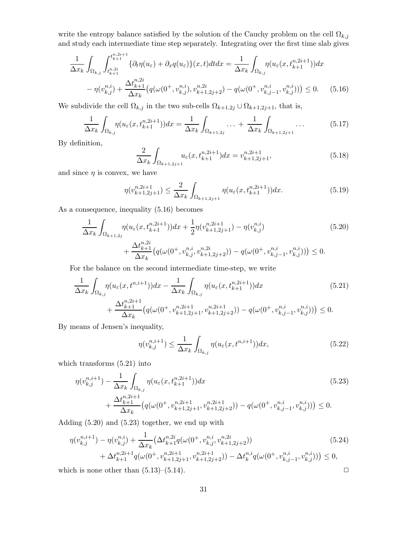write the entropy balance satisfied by the solution of the Cauchy problem on the cell  $\Omega_{k,j}$ and study each intermediate time step separately. Integrating over the first time slab gives

$$
\frac{1}{\Delta x_k} \int_{\Omega_{k,j}} \int_{t_{k+1}^{n,2i}}^{t_{k+1}^{n,2i+1}} \{ \partial_t \eta(u_\varepsilon) + \partial_x q(u_\varepsilon) \} (x,t) dt dx = \frac{1}{\Delta x_k} \int_{\Omega_{k,j}} \eta(u_\varepsilon(x, t_{k+1}^{n,2i+1})) dx \n- \eta(v_{k,j}^{n,i}) + \frac{\Delta t_{k+1}^{n,2i}}{\Delta x_k} \{ q(\omega(0^+, v_{k,j}^{n,i}), v_{k+1,2j+2}^{n,2i}) - q(\omega(0^+, v_{k,j-1}^{n,i}, v_{k,j}^{n,i})) \} \leq 0.
$$
\n(5.16)

We subdivide the cell  $\Omega_{k,j}$  in the two sub-cells  $\Omega_{k+1,2j} \cup \Omega_{k+1,2j+1}$ , that is,

$$
\frac{1}{\Delta x_k} \int_{\Omega_{k,j}} \eta(u_{\varepsilon}(x, t_{k+1}^{n, 2i+1})) dx = \frac{1}{\Delta x_k} \int_{\Omega_{k+1, 2j}} \dots + \frac{1}{\Delta x_k} \int_{\Omega_{k+1, 2j+1}} \dots \tag{5.17}
$$

By definition,

$$
\frac{2}{\Delta x_k} \int_{\Omega_{k+1,2j+1}} u_{\varepsilon}(x, t_{k+1}^{n,2i+1}) dx = v_{k+1,2j+1}^{n,2i+1}, \tag{5.18}
$$

and since  $\eta$  is convex, we have

$$
\eta(v_{k+1,2j+1}^{n,2i+1}) \le \frac{2}{\Delta x_k} \int_{\Omega_{k+1,2j+1}} \eta(u_{\varepsilon}(x,t_{k+1}^{n,2i+1})) dx.
$$
\n(5.19)

As a consequence, inequality (5.16) becomes

$$
\frac{1}{\Delta x_k} \int_{\Omega_{k+1,2j}} \eta(u_{\varepsilon}(x, t_{k+1}^{n,2i+1})) dx + \frac{1}{2} \eta(v_{k+1,2j+1}^{n,2i+1}) - \eta(v_{k,j}^{n,i}) \n+ \frac{\Delta t_{k+1}^{n,2i}}{\Delta x_k} \left( q(\omega(0^+, v_{k,j}^{n,i}, v_{k+1,2j+2}^{n,2i})) - q(\omega(0^+, v_{k,j-1}^{n,i}, v_{k,j}^{n,i})) \right) \le 0.
$$
\n(5.20)

For the balance on the second intermediate time-step, we write

$$
\frac{1}{\Delta x_k} \int_{\Omega_{k,j}} \eta(u_{\varepsilon}(x, t^{n,i+1})) dx - \frac{1}{\Delta x_k} \int_{\Omega_{k,j}} \eta(u_{\varepsilon}(x, t^{n,2i+1}_{k+1})) dx
$$
\n
$$
+ \frac{\Delta t^{n,2i+1}_{k+1}}{\Delta x_k} \left( q(\omega(0^+, v^{n,2i+1}_{k+1,2j+1}, v^{n,2i+1}_{k+1,2j+2})) - q(\omega(0^+, v^{n,i}_{k,j-1}, v^{n,i}_{k,j})) \right) \le 0.
$$
\n(5.21)

By means of Jensen's inequality,

$$
\eta(v_{k,j}^{n,i+1}) \le \frac{1}{\Delta x_k} \int_{\Omega_{k,j}} \eta(u_\varepsilon(x, t^{n,i+1})) dx,\tag{5.22}
$$

which transforms (5.21) into

$$
\eta(v_{k,j}^{n,i+1}) - \frac{1}{\Delta x_k} \int_{\Omega_{k,j}} \eta(u_{\varepsilon}(x, t_{k+1}^{n, 2i+1})) dx
$$
\n
$$
+ \frac{\Delta t_{k+1}^{n, 2i+1}}{\Delta x_k} \left( q(\omega(0^+, v_{k+1, 2j+1}^{n, 2i+1}, v_{k+1, 2j+2}^{n, 2i+1})) - q(\omega(0^+, v_{k,j-1}^{n, i}, v_{k,j}^{n, i})) \right) \le 0.
$$
\n(5.23)

Adding (5.20) and (5.23) together, we end up with

$$
\eta(v_{k,j}^{n,i+1}) - \eta(v_{k,j}^{n,i}) + \frac{1}{\Delta x_k} \left(\Delta t_{k+1}^{n,2i} q(\omega(0^+, v_{k,j}^{n,i}, v_{k+1,2j+2}^{n,2i})\right) \n+ \Delta t_{k+1}^{n,2i+1} q(\omega(0^+, v_{k+1,2j+1}^{n,2i+1}, v_{k+1,2j+2}^{n,2i+1})) - \Delta t_k^{n,i} q(\omega(0^+, v_{k,j-1}^{n,i}, v_{k,j}^{n,i}))) \leq 0,
$$
\n(5.24)

which is none other than  $(5.13)$ – $(5.14)$ .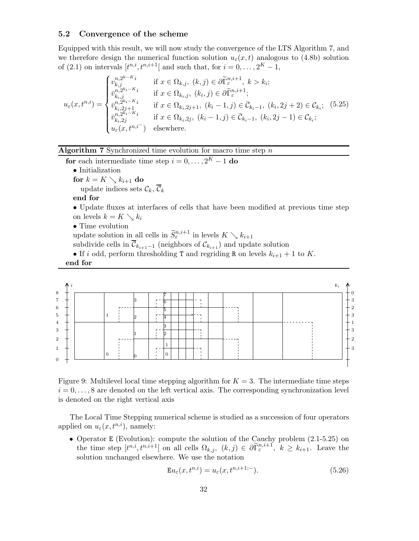#### 5.2 Convergence of the scheme

Equipped with this result, we will now study the convergence of the LTS Algorithm 7, and we therefore design the numerical function solution  $u_{\varepsilon}(x,t)$  analogous to (4.8b) solution of (2.1) on intervals  $[t^{n,i},t^{n,i+1}]$  and such that, for  $i=0,\ldots,2^K-1$ ,

$$
u_{\varepsilon}(x, t^{n,i}) = \begin{cases} v_{k,j}^{n,2^{k-K}i} & \text{if } x \in \Omega_{k,j}, \ (k,j) \in \partial \widetilde{\Gamma}_{\varepsilon}^{n,i+1}, \ k > k_i; \\ v_{k,j}^{n,2^{k_i-K}i} & \text{if } x \in \Omega_{k_i,j}, \ (k_i,j) \in \partial \widetilde{\Gamma}_{\varepsilon}^{n,i+1}; \\ v_{k_i,2j+1}^{n,2^{k_i-K}i} & \text{if } x \in \Omega_{k_i,2j+1}, \ (k_i - 1,j) \in \bar{\mathcal{C}}_{k_i-1}, \ (k_i,2j+2) \in \mathcal{C}_{k_i}; \\ v_{k_i,2j}^{n,2^{k_i-K}i} & \text{if } x \in \Omega_{k_i,2j}, \ (k_i - 1,j) \in \bar{\mathcal{C}}_{k_i-1}, \ (k_i,2j-1) \in \mathcal{C}_{k_i}; \\ u_{\varepsilon}(x, t^{n,i}) & \text{elsewhere.} \end{cases} \tag{5.25}
$$

#### Algorithm 7 Synchronized time evolution for macro time step  $n$

for each intermediate time step  $i = 0, \ldots, 2^{K} - 1$  do

 $\bullet$ Initialization

for  $k = K \setminus k_{i+1}$  do

update indices sets  $\mathcal{C}_k$ ,  $\overline{\mathcal{C}}_k$ 

end for

- Update fluxes at interfaces of cells that have been modified at previous time step on levels  $k = K \searrow k_i$
- Time evolution

update solution in all cells in  $\widetilde{S}_{\varepsilon}^{n,i+1}$  in levels  $K \searrow k_{i+1}$ 

subdivide cells in  $\overline{\mathcal{C}}_{k_{i+1}-1}$  (neighbors of  $\mathcal{C}_{k_{i+1}}$ ) and update solution

• If i odd, perform thresholding T and regriding R on levels  $k_{i+1} + 1$  to K.

end for



Figure 9: Multilevel local time stepping algorithm for  $K = 3$ . The intermediate time steps  $i = 0, \ldots, 8$  are denoted on the left vertical axis. The corresponding synchronization level is denoted on the right vertical axis

The Local Time Stepping numerical scheme is studied as a succession of four operators applied on  $u_{\varepsilon}(x,t^{n,i})$ , namely:

• Operator E (Evolution): compute the solution of the Cauchy problem (2.1-5.25) on the time step  $[t^{n,i},t^{n,i+1}]$  on all cells  $\Omega_{k,j}$ ,  $(k,j) \in \partial \tilde{\Gamma}_{\varepsilon}^{n,i+1}$ ,  $k \geq k_{i+1}$ . Leave the solution unchanged elsewhere. We use the notation

$$
Eu_{\varepsilon}(x, t^{n,i}) = u_{\varepsilon}(x, t^{n,i+1,-}).
$$
\n(5.26)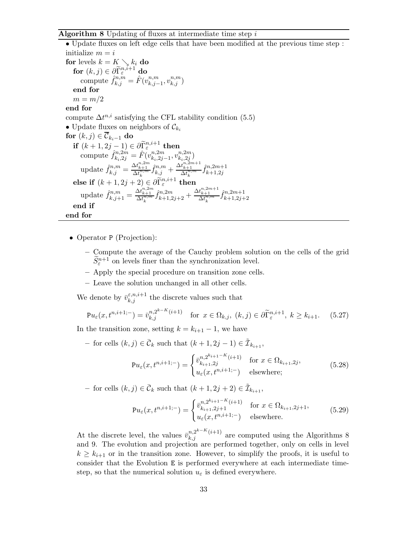#### **Algorithm 8** Updating of fluxes at intermediate time step  $i$

• Update fluxes on left edge cells that have been modified at the previous time step : initialize  $m = i$ for levels  $k = K \searrow k_i$  do  $\mathbf{for} \; (k,j) \in \partial \widetilde{\Gamma}_{\varepsilon}^{n,i+1} \; \mathbf{do}$ compute  $\hat{f}_{k,j}^{n,m} = \hat{F}(v_{k,j}^{n,m})$  $\binom{n,m}{k,j-1}, \binom{n,m}{k,j}$ end for  $m = m/2$ end for compute  $\Delta t^{n,i}$  satisfying the CFL stability condition (5.5) • Update fluxes on neighbors of  $\mathcal{C}_{k_i}$ for  $(k,j) \in \overline{\mathcal{C}}_{k_i-1}$  do if  $(k+1, 2j-1) \in \partial \widetilde{\Gamma}_{\varepsilon}^{n,i+1}$  then compute  $\hat{f}_{k_i,2j}^{n,2m} = \hat{F}(v_{k_i,2j}^{n,2m})$  $\sum_{k_i,2j-1}^{n,2m} v_{k_i,2j}^{n,2m}$  $_{k_i,2j}^{n,\scriptscriptstyle 2m})$ update  $\hat{f}_{k,j}^{n,m} = \frac{\Delta t_{k+1}^{n,2m}}{\Delta t_k^{n,m}} \hat{f}_{k,j}^{n,m} + \frac{\Delta t_{k+1}^{n,2m+1}}{\Delta t_k^{n,m}} \hat{f}_{k+1,2j}^{n,2m+1}$  $_{k+1,2j}$ else if  $(k+1,2j+2) \in \partial \widetilde{\Gamma}^{n,i+1}_\varepsilon$  then update  $\hat{f}_{k,j+1}^{n,m} = \frac{\Delta t_{k+1}^{n,2m}}{\Delta t_k^{n,m}} \hat{f}_{k+1,2j+2}^{n,2m} + \frac{\Delta t_{k+1}^{n,2m+1}}{\Delta t_k^{n,m}} \hat{f}_{k+1,2j+2}^{n,2m+1}$  $k+1,2j+2$ end if end for

- Operator P (Projection):
	- Compute the average of the Cauchy problem solution on the cells of the grid  $\widetilde{S}_{\varepsilon}^{n+1}$  on levels finer than the synchronization level.
	- Apply the special procedure on transition zone cells.
	- Leave the solution unchanged in all other cells.

We denote by  $\bar{v}_{k,j}^{\varepsilon,n,i+1}$  the discrete values such that

$$
\mathbf{P}u_{\varepsilon}(x,t^{n,i+1;-}) = \bar{v}_{k,j}^{n,2^{k-K}(i+1)} \quad \text{for } x \in \Omega_{k,j}, \ (k,j) \in \partial \widetilde{\Gamma}_{\varepsilon}^{n,i+1}, \ k \ge k_{i+1}.\tag{5.27}
$$

In the transition zone, setting  $k = k_{i+1} - 1$ , we have

- for cells  $(k, j) \in \overline{C}_k$  such that  $(k + 1, 2j - 1) \in \widetilde{L}_{k_{i+1}},$ 

$$
\mathbf{P}u_{\varepsilon}(x, t^{n, i+1;-}) = \begin{cases} \bar{v}_{k_{i+1}, 2j}^{n, 2^{k_{i+1}-K}(i+1)} & \text{for } x \in \Omega_{k_{i+1}, 2j}, \\ u_{\varepsilon}(x, t^{n, i+1;-}) & \text{elsewhere;} \end{cases}
$$
(5.28)

− for cells  $(k, j) \in \overline{\mathcal{C}}_k$  such that  $(k + 1, 2j + 2) \in \widetilde{\mathcal{I}}_{k_{i+1}},$ 

$$
\mathbf{P}u_{\varepsilon}(x,t^{n,i+1;-}) = \begin{cases} \bar{v}_{k_{i+1},2j+1}^{n,2^{k_{i+1}-K}(i+1)} & \text{for } x \in \Omega_{k_{i+1},2j+1}, \\ u_{\varepsilon}(x,t^{n,i+1;-}) & \text{elsewhere.} \end{cases}
$$
(5.29)

At the discrete level, the values  $\bar{v}_{k,j}^{n,2^{k-K}(i+1)}$  are computed using the Algorithms 8 and 9. The evolution and projection are performed together, only on cells in level  $k \geq k_{i+1}$  or in the transition zone. However, to simplify the proofs, it is useful to consider that the Evolution E is performed everywhere at each intermediate timestep, so that the numerical solution  $u_{\varepsilon}$  is defined everywhere.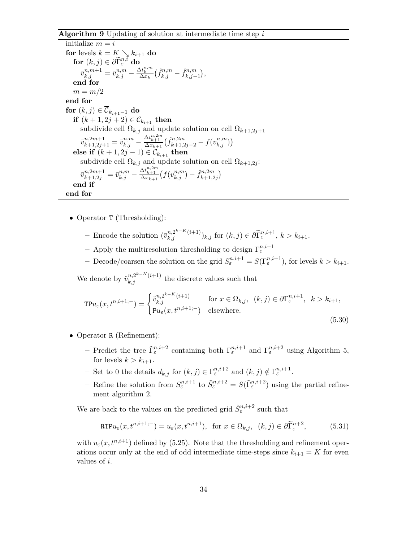**Algorithm 9** Updating of solution at intermediate time step  $i$ 

initialize  $m = i$ for levels  $k = K \searrow k_{i+1}$  do for  $(k, j) \in \partial \widetilde{\Gamma}^{n, i}_{\varepsilon}$  do  $\bar{v}^{n,m+1}_{k,j} = \bar{v}^{n,m}_{k,j} - \frac{\Delta t^{n,m}_k}{\Delta x_k} \big( \hat{f}^{n,m}_{k,j} - \hat{f}^{n,m}_{k,j} \big)$  $\binom{n,m}{k,j-1},$ end for  $m = m/2$ end for for  $(k,j) \in \overline{\mathcal{C}}_{k_{i+1}-1}$  do if  $(k + 1, 2j + 2) \in C_{k_{i+1}}$  then subdivide cell  $\Omega_{k,j}$  and update solution on cell  $\Omega_{k+1,2j+1}$  $\bar{v}_{k+1,2j+1}^{n,2m+1} = \bar{v}_{k,j}^{n,m} - \frac{\Delta t_{k+1}^{n,2m}}{\Delta x_{k+1}} \left( \hat{f}_{k+1,2j+2}^{n,2m} - f(v_{k,j}^{n,m}) \right)$ else if  $(k+1, 2j-1) \in C_{k_{i+1}}$  then subdivide cell  $\Omega_{k,j}$  and update solution on cell  $\Omega_{k+1,2j}$ :  $\bar{v}_{k+1,2j}^{n,2m+1} = \bar{v}_{k,j}^{n,m} - \frac{\Delta t_{k+1}^{n,2m}}{\Delta x_{k+1}} \left( f(v_{k,j}^{n,m}) - \hat{f}_{k+1,2}^{n,2m} \right)$  $\binom{n,2m}{k+1,2j}$ end if end for

- Operator T (Thresholding):
	- Encode the solution  $(\bar{v}_{k,j}^{n,2^{k-K}(i+1)})_{k,j}$  for  $(k,j) \in \partial \tilde{\Gamma}_{\varepsilon}^{n,i+1}, k > k_{i+1}$ .
	- Apply the multiresolution thresholding to design  $\Gamma_{\varepsilon}^{n,i+1}$
	- Decode/coarsen the solution on the grid  $S_{\varepsilon}^{n,i+1} = S(\Gamma_{\varepsilon}^{n,i+1})$ , for levels  $k > k_{i+1}$ .

We denote by  $\tilde{v}_{k,j}^{n,2^{k-K}(i+1)}$  the discrete values such that

$$
\text{TP}u_{\varepsilon}(x, t^{n,i+1;-}) = \begin{cases} \check{v}_{k,j}^{n,2^{k-K}(i+1)} & \text{for } x \in \Omega_{k,j}, \ (k,j) \in \partial \Gamma_{\varepsilon}^{n,i+1}, \ k > k_{i+1}, \\ \text{P}u_{\varepsilon}(x, t^{n,i+1;-}) & \text{elsewhere.} \end{cases} \tag{5.30}
$$

- Operator R (Refinement):
	- Predict the tree  $\tilde{\Gamma}^{n,i+2}_{\varepsilon}$  containing both  $\Gamma^{n,i+1}_{\varepsilon}$  and  $\Gamma^{n,i+2}_{\varepsilon}$  using Algorithm 5, for levels  $k > k_{i+1}$ .
	- Set to 0 the details  $d_{k,j}$  for  $(k,j) \in \Gamma_{\varepsilon}^{n,i+2}$  and  $(k,j) \notin \Gamma_{\varepsilon}^{n,i+1}$ .
	- Refine the solution from  $S_{\varepsilon}^{n,i+1}$  to  $\tilde{S}_{\varepsilon}^{n,i+2} = S(\tilde{\Gamma}_{\varepsilon}^{n,i+2})$  using the partial refinement algorithm 2.

We are back to the values on the predicted grid  $\tilde{S}^{n,i+2}_{\varepsilon}$  such that

$$
\text{RTP}u_{\varepsilon}(x, t^{n, i+1; -}) = u_{\varepsilon}(x, t^{n, i+1}), \text{ for } x \in \Omega_{k,j}, \ (k, j) \in \partial \widetilde{\Gamma}_{\varepsilon}^{n+2}, \tag{5.31}
$$

with  $u_{\varepsilon}(x,t^{n,i+1})$  defined by (5.25). Note that the thresholding and refinement operations occur only at the end of odd intermediate time-steps since  $k_{i+1} = K$  for even values of i.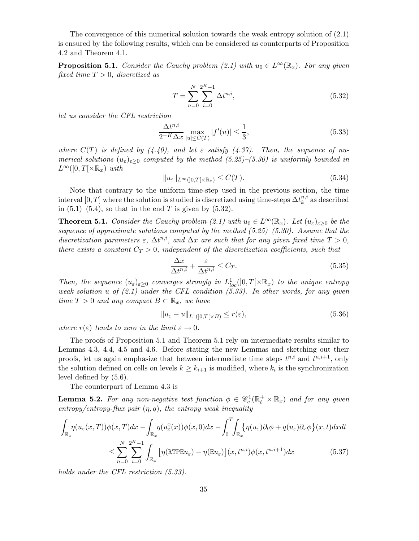The convergence of this numerical solution towards the weak entropy solution of (2.1) is ensured by the following results, which can be considered as counterparts of Proposition 4.2 and Theorem 4.1.

**Proposition 5.1.** *Consider the Cauchy problem (2.1) with*  $u_0 \in L^\infty(\mathbb{R}_x)$ *. For any given fixed time* T > 0*, discretized as*

$$
T = \sum_{n=0}^{N} \sum_{i=0}^{2^K - 1} \Delta t^{n,i},\tag{5.32}
$$

*let us consider the CFL restriction*

$$
\frac{\Delta t^{n,i}}{2^{-K}\Delta x} \max_{|u| \le C(T)} |f'(u)| \le \frac{1}{3},\tag{5.33}
$$

where  $C(T)$  is defined by  $(4.40)$ , and let  $\varepsilon$  *satisfy*  $(4.37)$ . Then, the sequence of nu*merical solutions*  $(u_{\varepsilon})_{\varepsilon>0}$  *computed by the method (5.25)–(5.30) is uniformly bounded in*  $L^{\infty}([0,T[\times \mathbb{R}_x]$  *with* 

$$
||u_{\varepsilon}||_{L^{\infty}(]0,T[\times \mathbb{R}_x)} \le C(T). \tag{5.34}
$$

Note that contrary to the uniform time-step used in the previous section, the time interval [0, T] where the solution is studied is discretized using time-steps  $\Delta t_k^{n,i}$  $k^{n,i}$  as described in  $(5.1)$ – $(5.4)$ , so that in the end T is given by  $(5.32)$ .

**Theorem 5.1.** *Consider the Cauchy problem (2.1) with*  $u_0 \in L^{\infty}(\mathbb{R}_x)$ *. Let*  $(u_{\varepsilon})_{\varepsilon>0}$  *be the sequence of approximate solutions computed by the method (5.25)–(5.30). Assume that the* discretization parameters  $\varepsilon$ ,  $\Delta t^{n,i}$ , and  $\Delta x$  are such that for any given fixed time  $T > 0$ , *there exists a constant*  $C_T > 0$ *, independent of the discretization coefficients, such that* 

$$
\frac{\Delta x}{\Delta t^{n,i}} + \frac{\varepsilon}{\Delta t^{n,i}} \le C_T.
$$
\n(5.35)

*Then, the sequence*  $(u_{\varepsilon})_{\varepsilon \geq 0}$  *converges strongly in*  $L^1_{loc}([0,T[\times \mathbb{R}_x])$  *to the unique entropy weak solution* u *of (2.1) under the CFL condition (5.33). In other words, for any given time*  $T > 0$  *and any compact*  $B \subset \mathbb{R}_x$ *, we have* 

$$
||u_{\varepsilon} - u||_{L^{1}(]0,T[\times B)} \le r(\varepsilon),
$$
\n(5.36)

*where*  $r(\varepsilon)$  *tends to zero in the limit*  $\varepsilon \to 0$ *.* 

The proofs of Proposition 5.1 and Theorem 5.1 rely on intermediate results similar to Lemmas 4.3, 4.4, 4.5 and 4.6. Before stating the new Lemmas and sketching out their proofs, let us again emphasize that between intermediate time steps  $t^{n,i}$  and  $t^{n,i+1}$ , only the solution defined on cells on levels  $k \geq k_{i+1}$  is modified, where  $k_i$  is the synchronization level defined by (5.6).

The counterpart of Lemma 4.3 is

**Lemma 5.2.** For any non-negative test function  $\phi \in \mathscr{C}_c^1(\mathbb{R}_t^+ \times \mathbb{R}_x)$  and for any given *entropy/entropy-flux pair* (η,q)*, the entropy weak inequality*

$$
\int_{\mathbb{R}_x} \eta(u_{\varepsilon}(x,T))\phi(x,T)dx - \int_{\mathbb{R}_x} \eta(u_{\varepsilon}^0(x))\phi(x,0)dx - \int_0^T \int_{\mathbb{R}_x} {\{\eta(u_{\varepsilon})\partial_t\phi + q(u_{\varepsilon})\partial_x\phi\}(x,t)dx}dt
$$
\n
$$
\leq \sum_{n=0}^N \sum_{i=0}^{2^K-1} \int_{\mathbb{R}_x} \left[ \eta(\text{RTPE}u_{\varepsilon}) - \eta(\text{Eu}_{\varepsilon}) \right](x,t^{n,i})\phi(x,t^{n,i+1})dx \tag{5.37}
$$

*holds under the CFL restriction (5.33).*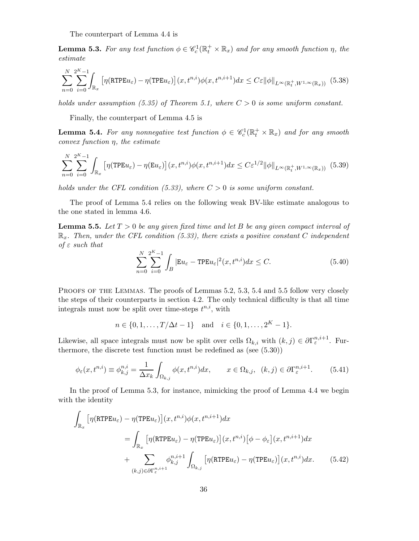The counterpart of Lemma 4.4 is

**Lemma 5.3.** For any test function  $\phi \in \mathcal{C}_c^1(\mathbb{R}_t^+ \times \mathbb{R}_x)$  and for any smooth function  $\eta$ , the *estimate*

$$
\sum_{n=0}^{N} \sum_{i=0}^{2^K - 1} \int_{\mathbb{R}_x} \left[ \eta(\text{RTPE}u_{\varepsilon}) - \eta(\text{TPE}u_{\varepsilon}) \right] (x, t^{n,i}) \phi(x, t^{n,i+1}) dx \leq C \varepsilon ||\phi||_{L^{\infty}(\mathbb{R}_t^+, W^{1,\infty}(\mathbb{R}_x))} (5.38)
$$

*holds under assumption (5.35) of Theorem 5.1, where* C > 0 *is some uniform constant.*

Finally, the counterpart of Lemma 4.5 is

**Lemma 5.4.** For any nonnegative test function  $\phi \in \mathscr{C}_c^1(\mathbb{R}_t^+ \times \mathbb{R}_x)$  and for any smooth *convex function* η*, the estimate*

$$
\sum_{n=0}^{N} \sum_{i=0}^{2^K - 1} \int_{\mathbb{R}_x} \left[ \eta(\text{TPE} u_{\varepsilon}) - \eta(\text{E} u_{\varepsilon}) \right] (x, t^{n,i}) \phi(x, t^{n,i+1}) dx \leq C \varepsilon^{1/2} ||\phi||_{L^{\infty}(\mathbb{R}_t^+, W^{1,\infty}(\mathbb{R}_x))} (5.39)
$$

*holds under the CFL condition (5.33), where* C > 0 *is some uniform constant.*

The proof of Lemma 5.4 relies on the following weak BV-like estimate analogous to the one stated in lemma 4.6.

Lemma 5.5. *Let* T > 0 *be any given fixed time and let* B *be any given compact interval of* Rx*. Then, under the CFL condition (5.33), there exists a positive constant* C *independent of* ε *such that*

$$
\sum_{n=0}^{N} \sum_{i=0}^{2^K - 1} \int_B |\mathbf{E} u_{\varepsilon} - \mathbf{TPE} u_{\varepsilon}|^2 (x, t^{n,i}) dx \le C. \tag{5.40}
$$

PROOFS OF THE LEMMAS. The proofs of Lemmas 5.2, 5.3, 5.4 and 5.5 follow very closely the steps of their counterparts in section 4.2. The only technical difficulty is that all time integrals must now be split over time-steps  $t^{n,i}$ , with

$$
n \in \{0, 1, ..., T/\Delta t - 1\}
$$
 and  $i \in \{0, 1, ..., 2^K - 1\}.$ 

Likewise, all space integrals must now be split over cells  $\Omega_{k,i}$  with  $(k,j) \in \partial \Gamma_{\varepsilon}^{n,i+1}$ . Furthermore, the discrete test function must be redefined as (see (5.30))

$$
\phi_{\varepsilon}(x, t^{n,i}) \equiv \phi_{k,j}^{n,i} = \frac{1}{\Delta x_k} \int_{\Omega_{k,j}} \phi(x, t^{n,i}) dx, \qquad x \in \Omega_{k,j}, \quad (k,j) \in \partial \Gamma_{\varepsilon}^{n,i+1}.
$$
 (5.41)

In the proof of Lemma 5.3, for instance, mimicking the proof of Lemma 4.4 we begin with the identity

$$
\int_{\mathbb{R}_x} \left[ \eta(\text{RTPE} u_{\varepsilon}) - \eta(\text{TPE} u_{\varepsilon}) \right] (x, t^{n,i}) \phi(x, t^{n,i+1}) dx
$$
\n
$$
= \int_{\mathbb{R}_x} \left[ \eta(\text{RTPE} u_{\varepsilon}) - \eta(\text{TPE} u_{\varepsilon}) \right] (x, t^{n,i}) \left[ \phi - \phi_{\varepsilon} \right] (x, t^{n,i+1}) dx
$$
\n
$$
+ \sum_{(k,j) \in \partial \Gamma_{\varepsilon}^{n,i+1}} \phi_{k,j}^{n,i+1} \int_{\Omega_{k,j}} \left[ \eta(\text{RTPE} u_{\varepsilon}) - \eta(\text{TPE} u_{\varepsilon}) \right] (x, t^{n,i}) dx. \tag{5.42}
$$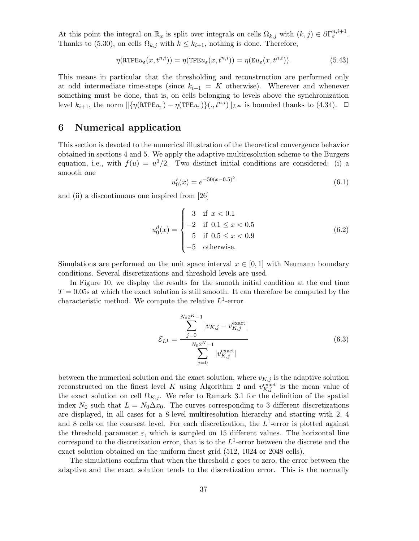At this point the integral on  $\mathbb{R}_x$  is split over integrals on cells  $\Omega_{k,j}$  with  $(k,j) \in \partial \Gamma_{\varepsilon}^{n,i+1}$ . Thanks to (5.30), on cells  $\Omega_{k,j}$  with  $k \leq k_{i+1}$ , nothing is done. Therefore,

$$
\eta(\text{RTPE}u_{\varepsilon}(x, t^{n,i})) = \eta(\text{TPE}u_{\varepsilon}(x, t^{n,i})) = \eta(\text{E}u_{\varepsilon}(x, t^{n,i})).\tag{5.43}
$$

This means in particular that the thresholding and reconstruction are performed only at odd intermediate time-steps (since  $k_{i+1} = K$  otherwise). Wherever and whenever something must be done, that is, on cells belonging to levels above the synchronization level  $k_{i+1}$ , the norm  $\|\{\eta(\text{RTPE}u_{\varepsilon}) - \eta(\text{TPE}u_{\varepsilon})\}\dots t^{n,i}\|_{L^{\infty}}$  is bounded thanks to (4.34).  $\Box$ 

### 6 Numerical application

This section is devoted to the numerical illustration of the theoretical convergence behavior obtained in sections 4 and 5. We apply the adaptive multiresolution scheme to the Burgers equation, i.e., with  $f(u) = u^2/2$ . Two distinct initial conditions are considered: (i) a smooth one

$$
u_0^s(x) = e^{-50(x-0.5)^2}
$$
\n(6.1)

and (ii) a discontinuous one inspired from [26]

$$
u_0^d(x) = \begin{cases} 3 & \text{if } x < 0.1 \\ -2 & \text{if } 0.1 \le x < 0.5 \\ 5 & \text{if } 0.5 \le x < 0.9 \\ -5 & \text{otherwise.} \end{cases}
$$
(6.2)

Simulations are performed on the unit space interval  $x \in [0,1]$  with Neumann boundary conditions. Several discretizations and threshold levels are used.

In Figure 10, we display the results for the smooth initial condition at the end time  $T = 0.05$  at which the exact solution is still smooth. It can therefore be computed by the characteristic method. We compute the relative  $L^1$ -error

$$
\mathcal{E}_{L^{1}} = \frac{\sum_{j=0}^{N_{0}2^{K}-1} |v_{K,j} - v_{K,j}^{\text{exact}}|}{\sum_{j=0}^{N_{0}2^{K}-1} |v_{K,j}^{\text{exact}}|}
$$
(6.3)

between the numerical solution and the exact solution, where  $v_{K,j}$  is the adaptive solution reconstructed on the finest level K using Algorithm 2 and  $v_{K,j}^{\text{exact}}$  is the mean value of the exact solution on cell  $\Omega_{K,j}$ . We refer to Remark 3.1 for the definition of the spatial index  $N_0$  such that  $L = N_0 \Delta x_0$ . The curves corresponding to 3 different discretizations are displayed, in all cases for a 8-level multiresolution hierarchy and starting with 2, 4 and 8 cells on the coarsest level. For each discretization, the  $L^1$ -error is plotted against the threshold parameter  $\varepsilon$ , which is sampled on 15 different values. The horizontal line correspond to the discretization error, that is to the  $L^1$ -error between the discrete and the exact solution obtained on the uniform finest grid (512, 1024 or 2048 cells).

The simulations confirm that when the threshold  $\varepsilon$  goes to zero, the error between the adaptive and the exact solution tends to the discretization error. This is the normally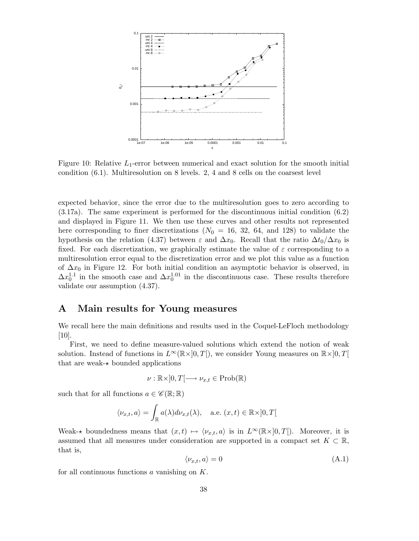

Figure 10: Relative  $L_1$ -error between numerical and exact solution for the smooth initial condition (6.1). Multiresolution on 8 levels. 2, 4 and 8 cells on the coarsest level

expected behavior, since the error due to the multiresolution goes to zero according to (3.17a). The same experiment is performed for the discontinuous initial condition (6.2) and displayed in Figure 11. We then use these curves and other results not represented here corresponding to finer discretizations ( $N_0 = 16, 32, 64,$  and 128) to validate the hypothesis on the relation (4.37) between  $\varepsilon$  and  $\Delta x_0$ . Recall that the ratio  $\Delta t_0/\Delta x_0$  is fixed. For each discretization, we graphically estimate the value of  $\varepsilon$  corresponding to a multiresolution error equal to the discretization error and we plot this value as a function of  $\Delta x_0$  in Figure 12. For both initial condition an asymptotic behavior is observed, in  $\Delta x_0^{1.1}$  in the smooth case and  $\Delta x_0^{1.01}$  in the discontinuous case. These results therefore validate our assumption (4.37).

### A Main results for Young measures

We recall here the main definitions and results used in the Coquel-LeFloch methodology [10].

First, we need to define measure-valued solutions which extend the notion of weak solution. Instead of functions in  $L^{\infty}(\mathbb{R}\times]0,T[$ , we consider Young measures on  $\mathbb{R}\times]0,T[$ that are weak- $\star$  bounded applications

$$
\nu : \mathbb{R} \times ]0, T[ \longrightarrow \nu_{x,t} \in \mathrm{Prob}(\mathbb{R})
$$

such that for all functions  $a \in \mathscr{C}(\mathbb{R}; \mathbb{R})$ 

$$
\langle \nu_{x,t}, a \rangle = \int_{\mathbb{R}} a(\lambda) d\nu_{x,t}(\lambda), \quad \text{a.e. } (x,t) \in \mathbb{R} \times ]0, T[
$$

Weak- $\star$  boundedness means that  $(x,t) \mapsto \langle \nu_{x,t},a \rangle$  is in  $L^{\infty}(\mathbb{R} \times ]0,T[$ ). Moreover, it is assumed that all measures under consideration are supported in a compact set  $K \subset \mathbb{R}$ , that is,

$$
\langle \nu_{x,t}, a \rangle = 0 \tag{A.1}
$$

for all continuous functions  $\alpha$  vanishing on  $K$ .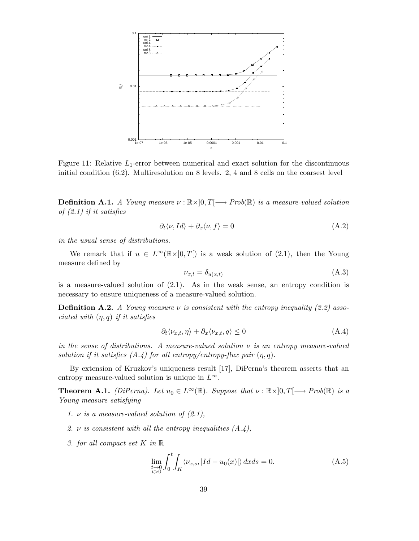

Figure 11: Relative  $L_1$ -error between numerical and exact solution for the discontinuous initial condition (6.2). Multiresolution on 8 levels. 2, 4 and 8 cells on the coarsest level

**Definition A.1.** *A Young measure*  $\nu : \mathbb{R} \times ]0,T[$   $\longrightarrow Prob(\mathbb{R})$  *is a measure-valued solution of (2.1) if it satisfies*

$$
\partial_t \langle \nu, Id \rangle + \partial_x \langle \nu, f \rangle = 0 \tag{A.2}
$$

*in the usual sense of distributions.*

We remark that if  $u \in L^{\infty}(\mathbb{R} \times ]0,T[)$  is a weak solution of (2.1), then the Young measure defined by

$$
\nu_{x,t} = \delta_{u(x,t)} \tag{A.3}
$$

is a measure-valued solution of (2.1). As in the weak sense, an entropy condition is necessary to ensure uniqueness of a measure-valued solution.

Definition A.2. *A Young measure* ν *is consistent with the entropy inequality (2.2) associated with* (η,q) *if it satisfies*

$$
\partial_t \langle \nu_{x,t}, \eta \rangle + \partial_x \langle \nu_{x,t}, q \rangle \le 0 \tag{A.4}
$$

*in the sense of distributions. A measure-valued solution* ν *is an entropy measure-valued solution if it satisfies (A.4) for all entropy/entropy-flux pair*  $(\eta, q)$ .

By extension of Kruzkov's uniqueness result [17], DiPerna's theorem asserts that an entropy measure-valued solution is unique in  $L^{\infty}$ .

**Theorem A.1.** *(DiPerna). Let*  $u_0 \in L^\infty(\mathbb{R})$ *. Suppose that*  $\nu : \mathbb{R} \times ]0, T[$   $\longrightarrow Prob(\mathbb{R})$  *is a Young measure satisfying*

- *1.* ν *is a measure-valued solution of (2.1),*
- *2.* ν *is consistent with all the entropy inequalities (A.4),*
- *3. for all compact set* K *in* R

$$
\lim_{\substack{t \to 0 \\ t > 0}} \int_0^t \int_K \langle \nu_{x,s}, |Id - u_0(x)| \rangle \, dx ds = 0. \tag{A.5}
$$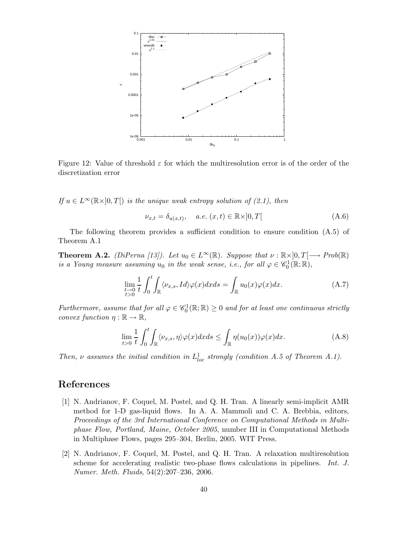

Figure 12: Value of threshold  $\varepsilon$  for which the multiresolution error is of the order of the discretization error

*If*  $u \in L^{\infty}(\mathbb{R} \times ]0,T[)$  *is the unique weak entropy solution of (2.1), then* 

$$
\nu_{x,t} = \delta_{u(x,t)}, \quad a.e. \ (x,t) \in \mathbb{R} \times ]0,T[ \tag{A.6}
$$

The following theorem provides a sufficient condition to ensure condition (A.5) of Theorem A.1

**Theorem A.2.** *(DiPerna [13]). Let*  $u_0 \in L^{\infty}(\mathbb{R})$ *. Suppose that*  $\nu : \mathbb{R} \times ]0, T[$   $\longrightarrow Prob(\mathbb{R})$ *is a Young measure assuming*  $u_0$  *in the weak sense, i.e., for all*  $\varphi \in \mathscr{C}_0^1(\mathbb{R}; \mathbb{R})$ ,

$$
\lim_{\substack{t \to 0 \\ t>0}} \frac{1}{t} \int_0^t \int_{\mathbb{R}} \langle \nu_{x,s}, Id \rangle \varphi(x) dx ds = \int_{\mathbb{R}} u_0(x) \varphi(x) dx.
$$
 (A.7)

*Furthermore, assume that for all*  $\varphi \in \mathscr{C}_0^1(\mathbb{R}; \mathbb{R}) \geq 0$  *and for at least one continuous strictly convex function*  $\eta : \mathbb{R} \to \mathbb{R}$ ,

$$
\lim_{t>0} \frac{1}{t} \int_0^t \int_{\mathbb{R}} \langle \nu_{x,s}, \eta \rangle \varphi(x) dx ds \le \int_{\mathbb{R}} \eta(u_0(x)) \varphi(x) dx.
$$
 (A.8)

Then,  $\nu$  assumes the initial condition in  $L^1_{loc}$  strongly (condition A.5 of Theorem A.1).

## References

- [1] N. Andrianov, F. Coquel, M. Postel, and Q. H. Tran. A linearly semi-implicit AMR method for 1-D gas-liquid flows. In A. A. Mammoli and C. A. Brebbia, editors, *Proceedings of the 3rd International Conference on Computational Methods in Multiphase Flow, Portland, Maine, October 2005*, number III in Computational Methods in Multiphase Flows, pages 295–304, Berlin, 2005. WIT Press.
- [2] N. Andrianov, F. Coquel, M. Postel, and Q. H. Tran. A relaxation multiresolution scheme for accelerating realistic two-phase flows calculations in pipelines. *Int. J. Numer. Meth. Fluids*, 54(2):207–236, 2006.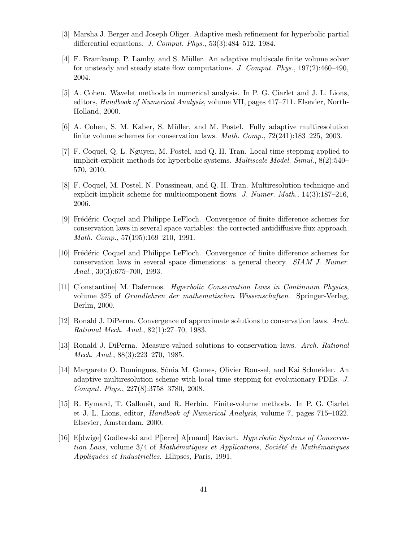- [3] Marsha J. Berger and Joseph Oliger. Adaptive mesh refinement for hyperbolic partial differential equations. *J. Comput. Phys.*, 53(3):484–512, 1984.
- [4] F. Bramkamp, P. Lamby, and S. M¨uller. An adaptive multiscale finite volume solver for unsteady and steady state flow computations. *J. Comput. Phys.*, 197(2):460–490, 2004.
- [5] A. Cohen. Wavelet methods in numerical analysis. In P. G. Ciarlet and J. L. Lions, editors, *Handbook of Numerical Analysis*, volume VII, pages 417–711. Elsevier, North-Holland, 2000.
- [6] A. Cohen, S. M. Kaber, S. M¨uller, and M. Postel. Fully adaptive multiresolution finite volume schemes for conservation laws. *Math. Comp.*, 72(241):183–225, 2003.
- [7] F. Coquel, Q. L. Nguyen, M. Postel, and Q. H. Tran. Local time stepping applied to implicit-explicit methods for hyperbolic systems. *Multiscale Model. Simul.*, 8(2):540– 570, 2010.
- [8] F. Coquel, M. Postel, N. Poussineau, and Q. H. Tran. Multiresolution technique and explicit-implicit scheme for multicomponent flows. *J. Numer. Math.*, 14(3):187–216, 2006.
- [9] Frédéric Coquel and Philippe LeFloch. Convergence of finite difference schemes for conservation laws in several space variables: the corrected antidiffusive flux approach. *Math. Comp.*, 57(195):169–210, 1991.
- [10] Frédéric Coquel and Philippe LeFloch. Convergence of finite difference schemes for conservation laws in several space dimensions: a general theory. *SIAM J. Numer. Anal.*, 30(3):675–700, 1993.
- [11] C[onstantine] M. Dafermos. *Hyperbolic Conservation Laws in Continuum Physics*, volume 325 of *Grundlehren der mathematischen Wissenschaften*. Springer-Verlag, Berlin, 2000.
- [12] Ronald J. DiPerna. Convergence of approximate solutions to conservation laws. *Arch. Rational Mech. Anal.*, 82(1):27–70, 1983.
- [13] Ronald J. DiPerna. Measure-valued solutions to conservation laws. *Arch. Rational Mech. Anal.*, 88(3):223–270, 1985.
- [14] Margarete O. Domingues, Sônia M. Gomes, Olivier Roussel, and Kai Schneider. An adaptive multiresolution scheme with local time stepping for evolutionary PDEs. *J. Comput. Phys.*, 227(8):3758–3780, 2008.
- [15] R. Eymard, T. Gallouët, and R. Herbin. Finite-volume methods. In P. G. Ciarlet et J. L. Lions, editor, *Handbook of Numerical Analysis*, volume 7, pages 715–1022. Elsevier, Amsterdam, 2000.
- [16] E[dwige] Godlewski and P[ierre] A[rnaud] Raviart. *Hyperbolic Systems of Conservation Laws, volume 3/4 of Mathématiques et Applications, Société de Mathématiques Appliqu´ees et Industrielles*. Ellipses, Paris, 1991.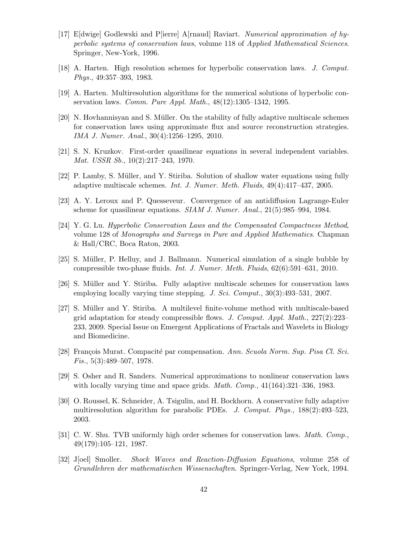- [17] E[dwige] Godlewski and P[ierre] A[rnaud] Raviart. *Numerical approximation of hyperbolic systems of conservation laws*, volume 118 of *Applied Mathematical Sciences*. Springer, New-York, 1996.
- [18] A. Harten. High resolution schemes for hyperbolic conservation laws. *J. Comput. Phys.*, 49:357–393, 1983.
- [19] A. Harten. Multiresolution algorithms for the numerical solutions of hyperbolic conservation laws. *Comm. Pure Appl. Math.*, 48(12):1305–1342, 1995.
- [20] N. Hovhannisyan and S. Müller. On the stability of fully adaptive multiscale schemes for conservation laws using approximate flux and source reconstruction strategies. *IMA J. Numer. Anal.*, 30(4):1256–1295, 2010.
- [21] S. N. Kruzkov. First-order quasilinear equations in several independent variables. *Mat. USSR Sb.*, 10(2):217–243, 1970.
- [22] P. Lamby, S. M¨uller, and Y. Stiriba. Solution of shallow water equations using fully adaptive multiscale schemes. *Int. J. Numer. Meth. Fluids*, 49(4):417–437, 2005.
- [23] A. Y. Leroux and P. Quesseveur. Convergence of an antidiffusion Lagrange-Euler scheme for quasilinear equations. *SIAM J. Numer. Anal.*, 21(5):985–994, 1984.
- [24] Y. G. Lu. *Hyperbolic Conservation Laws and the Compensated Compactness Method*, volume 128 of *Monographs and Surveys in Pure and Applied Mathematics*. Chapman & Hall/CRC, Boca Raton, 2003.
- [25] S. M¨uller, P. Helluy, and J. Ballmann. Numerical simulation of a single bubble by compressible two-phase fluids. *Int. J. Numer. Meth. Fluids*, 62(6):591–631, 2010.
- [26] S. Müller and Y. Stiriba. Fully adaptive multiscale schemes for conservation laws employing locally varying time stepping. *J. Sci. Comput.*, 30(3):493–531, 2007.
- [27] S. M¨uller and Y. Stiriba. A multilevel finite-volume method with multiscale-based grid adaptation for steady compressible flows. *J. Comput. Appl. Math.*, 227(2):223– 233, 2009. Special Issue on Emergent Applications of Fractals and Wavelets in Biology and Biomedicine.
- [28] François Murat. Compacité par compensation. *Ann. Scuola Norm. Sup. Pisa Cl. Sci. Fis.*, 5(3):489–507, 1978.
- [29] S. Osher and R. Sanders. Numerical approximations to nonlinear conservation laws with locally varying time and space grids. *Math. Comp.*, 41(164):321–336, 1983.
- [30] O. Roussel, K. Schneider, A. Tsigulin, and H. Bockhorn. A conservative fully adaptive multiresolution algorithm for parabolic PDEs. *J. Comput. Phys.*, 188(2):493–523, 2003.
- [31] C. W. Shu. TVB uniformly high order schemes for conservation laws. *Math. Comp.*, 49(179):105–121, 1987.
- [32] J[oel] Smoller. *Shock Waves and Reaction-Diffusion Equations*, volume 258 of *Grundlehren der mathematischen Wissenschaften*. Springer-Verlag, New York, 1994.